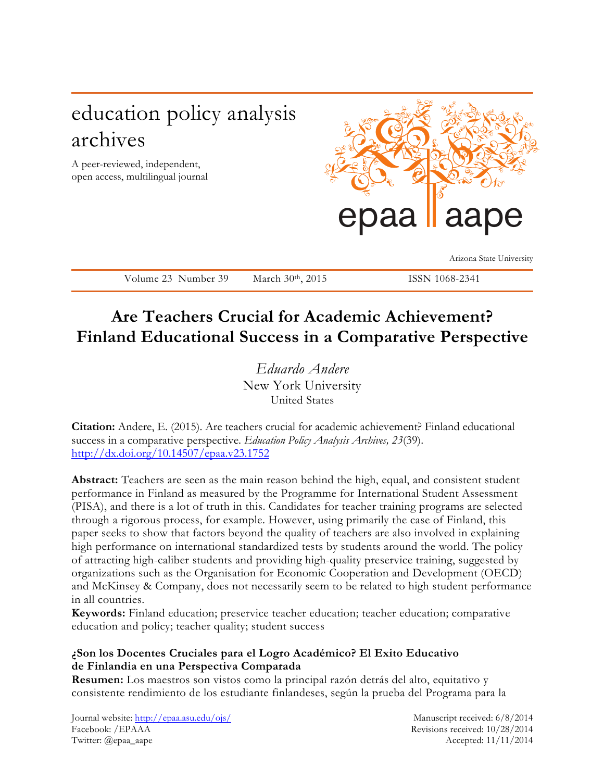# education policy analysis archives

A peer-reviewed, independent, open access, multilingual journal



Arizona State University

Volume 23 Number 39 March 30<sup>th</sup>, 2015 ISSN 1068-2341

### **Are Teachers Crucial for Academic Achievement? Finland Educational Success in a Comparative Perspective**

*Eduardo Andere* New York University United States

**Citation:** Andere, E. (2015). Are teachers crucial for academic achievement? Finland educational success in a comparative perspective. *Education Policy Analysis Archives, 23*(39). http://dx.doi.org/10.14507/epaa.v23.1752

**Abstract:** Teachers are seen as the main reason behind the high, equal, and consistent student performance in Finland as measured by the Programme for International Student Assessment (PISA), and there is a lot of truth in this. Candidates for teacher training programs are selected through a rigorous process, for example. However, using primarily the case of Finland, this paper seeks to show that factors beyond the quality of teachers are also involved in explaining high performance on international standardized tests by students around the world. The policy of attracting high-caliber students and providing high-quality preservice training, suggested by organizations such as the Organisation for Economic Cooperation and Development (OECD) and McKinsey & Company, does not necessarily seem to be related to high student performance in all countries.

**Keywords:** Finland education; preservice teacher education; teacher education; comparative education and policy; teacher quality; student success

#### **¿Son los Docentes Cruciales para el Logro Académico? El Exito Educativo de Finlandia en una Perspectiva Comparada**

**Resumen:** Los maestros son vistos como la principal razón detrás del alto, equitativo y consistente rendimiento de los estudiante finlandeses, según la prueba del Programa para la

Journal website: http://epaa.asu.edu/ojs/ Manuscript received: 6/8/2014 Facebook: /EPAAA Revisions received: 10/28/2014 Twitter: @epaa\_aape Accepted: 11/11/2014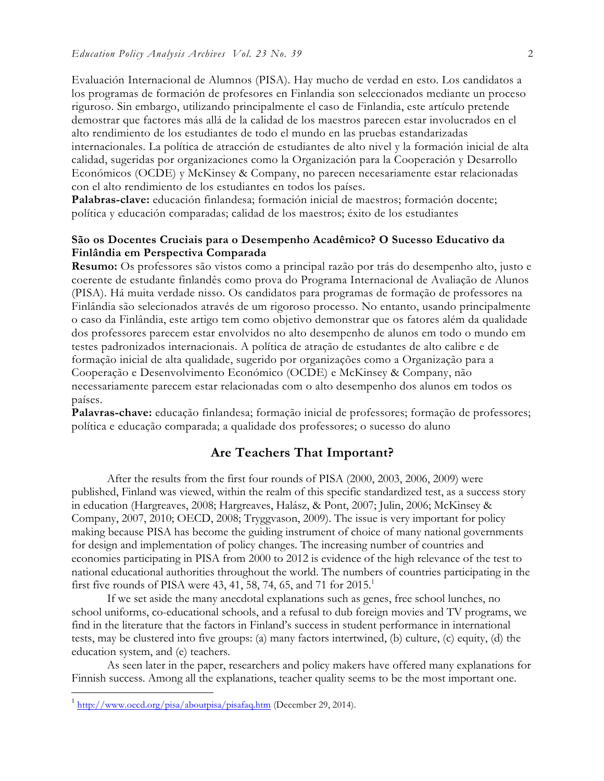Evaluación Internacional de Alumnos (PISA). Hay mucho de verdad en esto. Los candidatos a los programas de formación de profesores en Finlandia son seleccionados mediante un proceso riguroso. Sin embargo, utilizando principalmente el caso de Finlandia, este artículo pretende demostrar que factores más allá de la calidad de los maestros parecen estar involucrados en el alto rendimiento de los estudiantes de todo el mundo en las pruebas estandarizadas internacionales. La política de atracción de estudiantes de alto nivel y la formación inicial de alta calidad, sugeridas por organizaciones como la Organización para la Cooperación y Desarrollo Económicos (OCDE) y McKinsey & Company, no parecen necesariamente estar relacionadas con el alto rendimiento de los estudiantes en todos los países.

**Palabras-clave:** educación finlandesa; formación inicial de maestros; formación docente; política y educación comparadas; calidad de los maestros; éxito de los estudiantes

#### **São os Docentes Cruciais para o Desempenho Acadêmico? O Sucesso Educativo da Finlândia em Perspectiva Comparada**

**Resumo:** Os professores são vistos como a principal razão por trás do desempenho alto, justo e coerente de estudante finlandês como prova do Programa Internacional de Avaliação de Alunos (PISA). Há muita verdade nisso. Os candidatos para programas de formação de professores na Finlândia são selecionados através de um rigoroso processo. No entanto, usando principalmente o caso da Finlândia, este artigo tem como objetivo demonstrar que os fatores além da qualidade dos professores parecem estar envolvidos no alto desempenho de alunos em todo o mundo em testes padronizados internacionais. A política de atração de estudantes de alto calibre e de formação inicial de alta qualidade, sugerido por organizações como a Organização para a Cooperação e Desenvolvimento Económico (OCDE) e McKinsey & Company, não necessariamente parecem estar relacionadas com o alto desempenho dos alunos em todos os países.

**Palavras-chave:** educação finlandesa; formação inicial de professores; formação de professores; política e educação comparada; a qualidade dos professores; o sucesso do aluno

#### **Are Teachers That Important?**

After the results from the first four rounds of PISA (2000, 2003, 2006, 2009) were published, Finland was viewed, within the realm of this specific standardized test, as a success story in education (Hargreaves, 2008; Hargreaves, Halász, & Pont, 2007; Julin, 2006; McKinsey & Company, 2007, 2010; OECD, 2008; Tryggvason, 2009). The issue is very important for policy making because PISA has become the guiding instrument of choice of many national governments for design and implementation of policy changes. The increasing number of countries and economies participating in PISA from 2000 to 2012 is evidence of the high relevance of the test to national educational authorities throughout the world. The numbers of countries participating in the first five rounds of PISA were 43, 41, 58, 74, 65, and 71 for  $2015$ <sup>1</sup>

If we set aside the many anecdotal explanations such as genes, free school lunches, no school uniforms, co-educational schools, and a refusal to dub foreign movies and TV programs, we find in the literature that the factors in Finland's success in student performance in international tests, may be clustered into five groups: (a) many factors intertwined, (b) culture, (c) equity, (d) the education system, and (e) teachers.

As seen later in the paper, researchers and policy makers have offered many explanations for Finnish success. Among all the explanations, teacher quality seems to be the most important one.

<sup>&</sup>lt;sup>1</sup> http://www.oecd.org/pisa/aboutpisa/pisafaq.htm (December 29, 2014).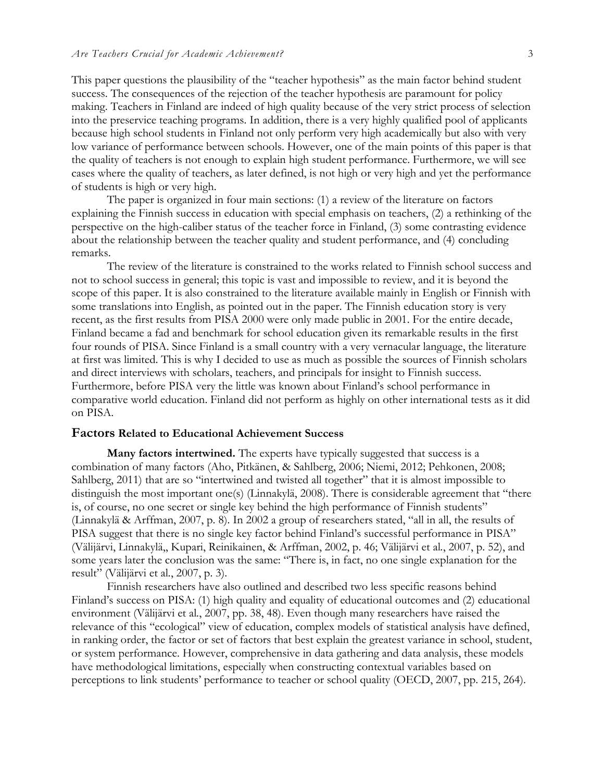This paper questions the plausibility of the "teacher hypothesis" as the main factor behind student success. The consequences of the rejection of the teacher hypothesis are paramount for policy making. Teachers in Finland are indeed of high quality because of the very strict process of selection into the preservice teaching programs. In addition, there is a very highly qualified pool of applicants because high school students in Finland not only perform very high academically but also with very low variance of performance between schools. However, one of the main points of this paper is that the quality of teachers is not enough to explain high student performance. Furthermore, we will see cases where the quality of teachers, as later defined, is not high or very high and yet the performance of students is high or very high.

The paper is organized in four main sections: (1) a review of the literature on factors explaining the Finnish success in education with special emphasis on teachers, (2) a rethinking of the perspective on the high-caliber status of the teacher force in Finland, (3) some contrasting evidence about the relationship between the teacher quality and student performance, and (4) concluding remarks.

The review of the literature is constrained to the works related to Finnish school success and not to school success in general; this topic is vast and impossible to review, and it is beyond the scope of this paper. It is also constrained to the literature available mainly in English or Finnish with some translations into English, as pointed out in the paper. The Finnish education story is very recent, as the first results from PISA 2000 were only made public in 2001. For the entire decade, Finland became a fad and benchmark for school education given its remarkable results in the first four rounds of PISA. Since Finland is a small country with a very vernacular language, the literature at first was limited. This is why I decided to use as much as possible the sources of Finnish scholars and direct interviews with scholars, teachers, and principals for insight to Finnish success. Furthermore, before PISA very the little was known about Finland's school performance in comparative world education. Finland did not perform as highly on other international tests as it did on PISA.

#### **Factors Related to Educational Achievement Success**

**Many factors intertwined.** The experts have typically suggested that success is a combination of many factors (Aho, Pitkänen, & Sahlberg, 2006; Niemi, 2012; Pehkonen, 2008; Sahlberg, 2011) that are so "intertwined and twisted all together" that it is almost impossible to distinguish the most important one(s) (Linnakylä, 2008). There is considerable agreement that "there is, of course, no one secret or single key behind the high performance of Finnish students" (Linnakylä & Arffman, 2007, p. 8). In 2002 a group of researchers stated, "all in all, the results of PISA suggest that there is no single key factor behind Finland's successful performance in PISA" (Välijärvi, Linnakylä,, Kupari, Reinikainen, & Arffman, 2002, p. 46; Välijärvi et al*.*, 2007, p. 52), and some years later the conclusion was the same: "There is, in fact, no one single explanation for the result" (Välijärvi et al*.*, 2007, p. 3).

Finnish researchers have also outlined and described two less specific reasons behind Finland's success on PISA: (1) high quality and equality of educational outcomes and (2) educational environment (Välijärvi et al*.*, 2007, pp. 38, 48). Even though many researchers have raised the relevance of this "ecological" view of education, complex models of statistical analysis have defined, in ranking order, the factor or set of factors that best explain the greatest variance in school, student, or system performance. However, comprehensive in data gathering and data analysis, these models have methodological limitations, especially when constructing contextual variables based on perceptions to link students' performance to teacher or school quality (OECD, 2007, pp. 215, 264).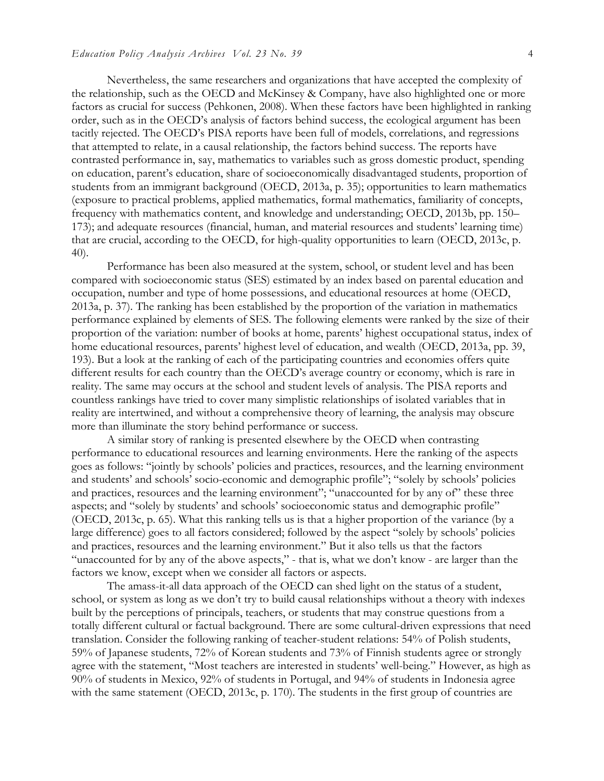Nevertheless, the same researchers and organizations that have accepted the complexity of the relationship, such as the OECD and McKinsey & Company, have also highlighted one or more factors as crucial for success (Pehkonen, 2008). When these factors have been highlighted in ranking order, such as in the OECD's analysis of factors behind success, the ecological argument has been tacitly rejected. The OECD's PISA reports have been full of models, correlations, and regressions that attempted to relate, in a causal relationship, the factors behind success. The reports have contrasted performance in, say, mathematics to variables such as gross domestic product, spending on education, parent's education, share of socioeconomically disadvantaged students, proportion of students from an immigrant background (OECD, 2013a, p. 35); opportunities to learn mathematics (exposure to practical problems, applied mathematics, formal mathematics, familiarity of concepts, frequency with mathematics content, and knowledge and understanding; OECD, 2013b, pp. 150– 173); and adequate resources (financial, human, and material resources and students' learning time) that are crucial, according to the OECD, for high-quality opportunities to learn (OECD, 2013c, p. 40).

Performance has been also measured at the system, school, or student level and has been compared with socioeconomic status (SES) estimated by an index based on parental education and occupation, number and type of home possessions, and educational resources at home (OECD, 2013a, p. 37). The ranking has been established by the proportion of the variation in mathematics performance explained by elements of SES. The following elements were ranked by the size of their proportion of the variation: number of books at home, parents' highest occupational status, index of home educational resources, parents' highest level of education, and wealth (OECD, 2013a, pp. 39, 193). But a look at the ranking of each of the participating countries and economies offers quite different results for each country than the OECD's average country or economy, which is rare in reality. The same may occurs at the school and student levels of analysis. The PISA reports and countless rankings have tried to cover many simplistic relationships of isolated variables that in reality are intertwined, and without a comprehensive theory of learning, the analysis may obscure more than illuminate the story behind performance or success.

A similar story of ranking is presented elsewhere by the OECD when contrasting performance to educational resources and learning environments. Here the ranking of the aspects goes as follows: "jointly by schools' policies and practices, resources, and the learning environment and students' and schools' socio-economic and demographic profile"; "solely by schools' policies and practices, resources and the learning environment"; "unaccounted for by any of" these three aspects; and "solely by students' and schools' socioeconomic status and demographic profile" (OECD, 2013c, p. 65). What this ranking tells us is that a higher proportion of the variance (by a large difference) goes to all factors considered; followed by the aspect "solely by schools' policies and practices, resources and the learning environment." But it also tells us that the factors "unaccounted for by any of the above aspects," - that is, what we don't know - are larger than the factors we know, except when we consider all factors or aspects.

The amass-it-all data approach of the OECD can shed light on the status of a student, school, or system as long as we don't try to build causal relationships without a theory with indexes built by the perceptions of principals, teachers, or students that may construe questions from a totally different cultural or factual background. There are some cultural-driven expressions that need translation. Consider the following ranking of teacher-student relations: 54% of Polish students, 59% of Japanese students, 72% of Korean students and 73% of Finnish students agree or strongly agree with the statement, "Most teachers are interested in students' well-being." However, as high as 90% of students in Mexico, 92% of students in Portugal, and 94% of students in Indonesia agree with the same statement (OECD, 2013c, p. 170). The students in the first group of countries are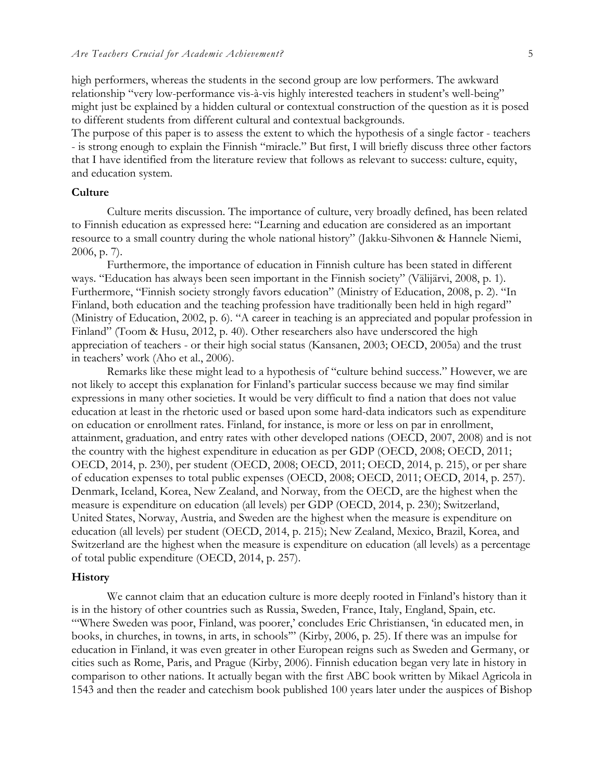high performers, whereas the students in the second group are low performers. The awkward relationship "very low-performance vis-à-vis highly interested teachers in student's well-being" might just be explained by a hidden cultural or contextual construction of the question as it is posed to different students from different cultural and contextual backgrounds.

The purpose of this paper is to assess the extent to which the hypothesis of a single factor - teachers - is strong enough to explain the Finnish "miracle." But first, I will briefly discuss three other factors that I have identified from the literature review that follows as relevant to success: culture, equity, and education system.

#### **Culture**

Culture merits discussion. The importance of culture, very broadly defined, has been related to Finnish education as expressed here: "Learning and education are considered as an important resource to a small country during the whole national history" (Jakku-Sihvonen & Hannele Niemi, 2006, p. 7).

Furthermore, the importance of education in Finnish culture has been stated in different ways. "Education has always been seen important in the Finnish society" (Välijärvi, 2008, p. 1). Furthermore, "Finnish society strongly favors education" (Ministry of Education, 2008, p. 2). "In Finland, both education and the teaching profession have traditionally been held in high regard" (Ministry of Education, 2002, p. 6). "A career in teaching is an appreciated and popular profession in Finland" (Toom & Husu, 2012, p. 40). Other researchers also have underscored the high appreciation of teachers - or their high social status (Kansanen, 2003; OECD, 2005a) and the trust in teachers' work (Aho et al., 2006).

Remarks like these might lead to a hypothesis of "culture behind success." However, we are not likely to accept this explanation for Finland's particular success because we may find similar expressions in many other societies. It would be very difficult to find a nation that does not value education at least in the rhetoric used or based upon some hard-data indicators such as expenditure on education or enrollment rates. Finland, for instance, is more or less on par in enrollment, attainment, graduation, and entry rates with other developed nations (OECD, 2007, 2008) and is not the country with the highest expenditure in education as per GDP (OECD, 2008; OECD, 2011; OECD, 2014, p. 230), per student (OECD, 2008; OECD, 2011; OECD, 2014, p. 215), or per share of education expenses to total public expenses (OECD, 2008; OECD, 2011; OECD, 2014, p. 257). Denmark, Iceland, Korea, New Zealand, and Norway, from the OECD, are the highest when the measure is expenditure on education (all levels) per GDP (OECD, 2014, p. 230); Switzerland, United States, Norway, Austria, and Sweden are the highest when the measure is expenditure on education (all levels) per student (OECD, 2014, p. 215); New Zealand, Mexico, Brazil, Korea, and Switzerland are the highest when the measure is expenditure on education (all levels) as a percentage of total public expenditure (OECD, 2014, p. 257).

#### **History**

We cannot claim that an education culture is more deeply rooted in Finland's history than it is in the history of other countries such as Russia, Sweden, France, Italy, England, Spain, etc. "'Where Sweden was poor, Finland, was poorer,' concludes Eric Christiansen, 'in educated men, in books, in churches, in towns, in arts, in schools'" (Kirby, 2006, p. 25). If there was an impulse for education in Finland, it was even greater in other European reigns such as Sweden and Germany, or cities such as Rome, Paris, and Prague (Kirby, 2006). Finnish education began very late in history in comparison to other nations. It actually began with the first ABC book written by Mikael Agricola in 1543 and then the reader and catechism book published 100 years later under the auspices of Bishop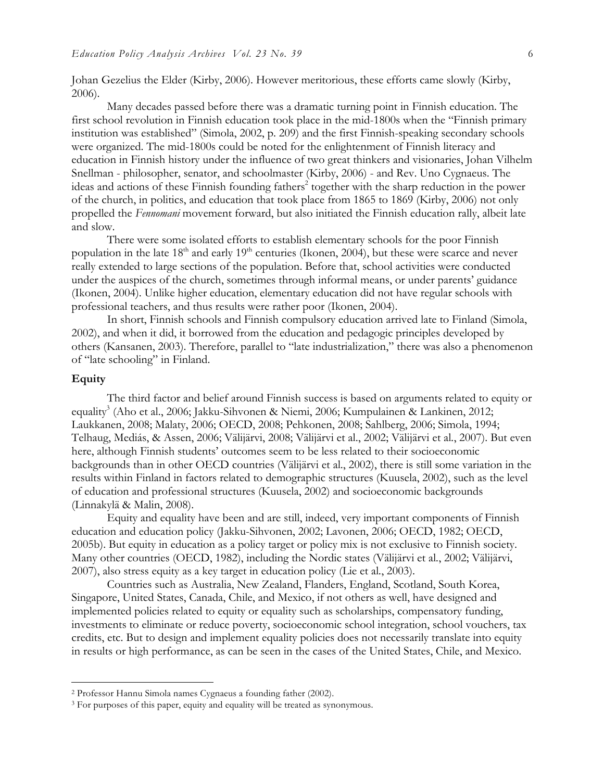Johan Gezelius the Elder (Kirby, 2006). However meritorious, these efforts came slowly (Kirby, 2006).

Many decades passed before there was a dramatic turning point in Finnish education. The first school revolution in Finnish education took place in the mid-1800s when the "Finnish primary institution was established" (Simola, 2002, p. 209) and the first Finnish-speaking secondary schools were organized. The mid-1800s could be noted for the enlightenment of Finnish literacy and education in Finnish history under the influence of two great thinkers and visionaries, Johan Vilhelm Snellman - philosopher, senator, and schoolmaster (Kirby, 2006) - and Rev. Uno Cygnaeus. The ideas and actions of these Finnish founding fathers<sup>2</sup> together with the sharp reduction in the power of the church, in politics, and education that took place from 1865 to 1869 (Kirby, 2006) not only propelled the *Fennomani* movement forward, but also initiated the Finnish education rally, albeit late and slow.

There were some isolated efforts to establish elementary schools for the poor Finnish population in the late  $18<sup>th</sup>$  and early  $19<sup>th</sup>$  centuries (Ikonen, 2004), but these were scarce and never really extended to large sections of the population. Before that, school activities were conducted under the auspices of the church, sometimes through informal means, or under parents' guidance (Ikonen, 2004). Unlike higher education, elementary education did not have regular schools with professional teachers, and thus results were rather poor (Ikonen, 2004).

In short, Finnish schools and Finnish compulsory education arrived late to Finland (Simola, 2002), and when it did, it borrowed from the education and pedagogic principles developed by others (Kansanen, 2003). Therefore, parallel to "late industrialization," there was also a phenomenon of "late schooling" in Finland.

#### **Equity**

The third factor and belief around Finnish success is based on arguments related to equity or equality<sup>3</sup> (Aho et al., 2006; Jakku-Sihvonen & Niemi, 2006; Kumpulainen & Lankinen, 2012; Laukkanen, 2008; Malaty, 2006; OECD, 2008; Pehkonen, 2008; Sahlberg, 2006; Simola, 1994; Telhaug, Mediás, & Assen, 2006; Välijärvi, 2008; Välijärvi et al., 2002; Välijärvi et al*.*, 2007). But even here, although Finnish students' outcomes seem to be less related to their socioeconomic backgrounds than in other OECD countries (Välijärvi et al., 2002), there is still some variation in the results within Finland in factors related to demographic structures (Kuusela, 2002), such as the level of education and professional structures (Kuusela, 2002) and socioeconomic backgrounds (Linnakylä & Malin, 2008).

Equity and equality have been and are still, indeed, very important components of Finnish education and education policy (Jakku-Sihvonen, 2002; Lavonen, 2006; OECD, 1982; OECD, 2005b). But equity in education as a policy target or policy mix is not exclusive to Finnish society. Many other countries (OECD, 1982), including the Nordic states (Välijärvi et al*.*, 2002; Välijärvi, 2007), also stress equity as a key target in education policy (Lie et al*.*, 2003).

Countries such as Australia, New Zealand, Flanders, England, Scotland, South Korea, Singapore, United States, Canada, Chile, and Mexico, if not others as well, have designed and implemented policies related to equity or equality such as scholarships, compensatory funding, investments to eliminate or reduce poverty, socioeconomic school integration, school vouchers, tax credits, etc. But to design and implement equality policies does not necessarily translate into equity in results or high performance, as can be seen in the cases of the United States, Chile, and Mexico.

 <sup>2</sup> Professor Hannu Simola names Cygnaeus a founding father (2002).

<sup>&</sup>lt;sup>3</sup> For purposes of this paper, equity and equality will be treated as synonymous.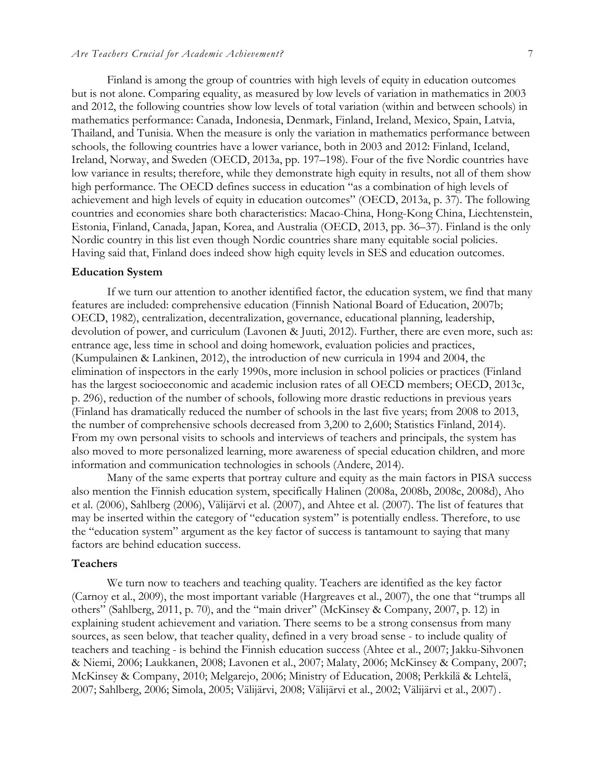Finland is among the group of countries with high levels of equity in education outcomes but is not alone. Comparing equality, as measured by low levels of variation in mathematics in 2003 and 2012, the following countries show low levels of total variation (within and between schools) in mathematics performance: Canada, Indonesia, Denmark, Finland, Ireland, Mexico, Spain, Latvia, Thailand, and Tunisia. When the measure is only the variation in mathematics performance between schools, the following countries have a lower variance, both in 2003 and 2012: Finland, Iceland, Ireland, Norway, and Sweden (OECD, 2013a, pp. 197–198). Four of the five Nordic countries have low variance in results; therefore, while they demonstrate high equity in results, not all of them show high performance. The OECD defines success in education "as a combination of high levels of achievement and high levels of equity in education outcomes" (OECD, 2013a, p. 37). The following countries and economies share both characteristics: Macao-China, Hong-Kong China, Liechtenstein, Estonia, Finland, Canada, Japan, Korea, and Australia (OECD, 2013, pp. 36–37). Finland is the only Nordic country in this list even though Nordic countries share many equitable social policies. Having said that, Finland does indeed show high equity levels in SES and education outcomes.

#### **Education System**

If we turn our attention to another identified factor, the education system, we find that many features are included: comprehensive education (Finnish National Board of Education, 2007b; OECD, 1982), centralization, decentralization, governance, educational planning, leadership, devolution of power, and curriculum (Lavonen & Juuti, 2012). Further, there are even more, such as: entrance age, less time in school and doing homework, evaluation policies and practices, (Kumpulainen & Lankinen, 2012), the introduction of new curricula in 1994 and 2004, the elimination of inspectors in the early 1990s, more inclusion in school policies or practices (Finland has the largest socioeconomic and academic inclusion rates of all OECD members; OECD, 2013c, p. 296), reduction of the number of schools, following more drastic reductions in previous years (Finland has dramatically reduced the number of schools in the last five years; from 2008 to 2013, the number of comprehensive schools decreased from 3,200 to 2,600; Statistics Finland, 2014). From my own personal visits to schools and interviews of teachers and principals, the system has also moved to more personalized learning, more awareness of special education children, and more information and communication technologies in schools (Andere, 2014).

Many of the same experts that portray culture and equity as the main factors in PISA success also mention the Finnish education system, specifically Halinen (2008a, 2008b, 2008c, 2008d), Aho et al. (2006), Sahlberg (2006), Välijärvi et al. (2007), and Ahtee et al. (2007). The list of features that may be inserted within the category of "education system" is potentially endless. Therefore, to use the "education system" argument as the key factor of success is tantamount to saying that many factors are behind education success.

#### **Teachers**

We turn now to teachers and teaching quality. Teachers are identified as the key factor (Carnoy et al., 2009), the most important variable (Hargreaves et al., 2007), the one that "trumps all others" (Sahlberg, 2011, p. 70), and the "main driver" (McKinsey & Company, 2007, p. 12) in explaining student achievement and variation. There seems to be a strong consensus from many sources, as seen below, that teacher quality, defined in a very broad sense - to include quality of teachers and teaching - is behind the Finnish education success (Ahtee et al., 2007; Jakku-Sihvonen & Niemi, 2006; Laukkanen, 2008; Lavonen et al., 2007; Malaty, 2006; McKinsey & Company, 2007; McKinsey & Company, 2010; Melgarejo, 2006; Ministry of Education, 2008; Perkkilä & Lehtelä, 2007; Sahlberg, 2006; Simola, 2005; Välijärvi, 2008; Välijärvi et al., 2002; Välijärvi et al., 2007) .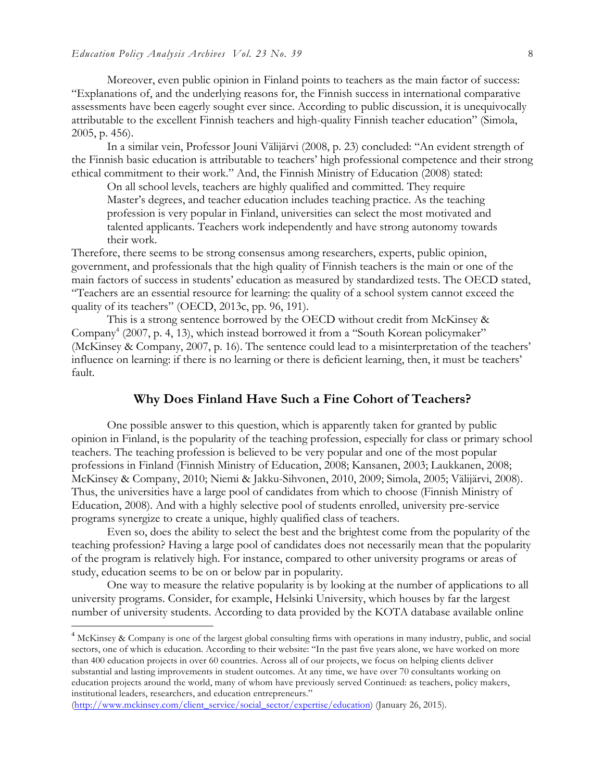Moreover, even public opinion in Finland points to teachers as the main factor of success: "Explanations of, and the underlying reasons for, the Finnish success in international comparative assessments have been eagerly sought ever since. According to public discussion, it is unequivocally attributable to the excellent Finnish teachers and high-quality Finnish teacher education" (Simola, 2005, p. 456).

In a similar vein, Professor Jouni Välijärvi (2008, p. 23) concluded: "An evident strength of the Finnish basic education is attributable to teachers' high professional competence and their strong ethical commitment to their work." And, the Finnish Ministry of Education (2008) stated:

On all school levels, teachers are highly qualified and committed. They require Master's degrees, and teacher education includes teaching practice. As the teaching profession is very popular in Finland, universities can select the most motivated and talented applicants. Teachers work independently and have strong autonomy towards their work.

Therefore, there seems to be strong consensus among researchers, experts, public opinion, government, and professionals that the high quality of Finnish teachers is the main or one of the main factors of success in students' education as measured by standardized tests. The OECD stated, "Teachers are an essential resource for learning: the quality of a school system cannot exceed the quality of its teachers" (OECD, 2013c, pp. 96, 191).

This is a strong sentence borrowed by the OECD without credit from McKinsey & Company<sup>4</sup> (2007, p. 4, 13), which instead borrowed it from a "South Korean policymaker" (McKinsey & Company, 2007, p. 16). The sentence could lead to a misinterpretation of the teachers' influence on learning: if there is no learning or there is deficient learning, then, it must be teachers' fault.

#### **Why Does Finland Have Such a Fine Cohort of Teachers?**

One possible answer to this question, which is apparently taken for granted by public opinion in Finland, is the popularity of the teaching profession, especially for class or primary school teachers. The teaching profession is believed to be very popular and one of the most popular professions in Finland (Finnish Ministry of Education, 2008; Kansanen, 2003; Laukkanen, 2008; McKinsey & Company, 2010; Niemi & Jakku-Sihvonen, 2010, 2009; Simola, 2005; Välijärvi, 2008). Thus, the universities have a large pool of candidates from which to choose (Finnish Ministry of Education, 2008). And with a highly selective pool of students enrolled, university pre-service programs synergize to create a unique, highly qualified class of teachers.

Even so, does the ability to select the best and the brightest come from the popularity of the teaching profession? Having a large pool of candidates does not necessarily mean that the popularity of the program is relatively high. For instance, compared to other university programs or areas of study, education seems to be on or below par in popularity.

One way to measure the relative popularity is by looking at the number of applications to all university programs. Consider, for example, Helsinki University, which houses by far the largest number of university students. According to data provided by the KOTA database available online

<sup>&</sup>lt;sup>4</sup> McKinsey & Company is one of the largest global consulting firms with operations in many industry, public, and social sectors, one of which is education. According to their website: "In the past five years alone, we have worked on more than 400 education projects in over 60 countries. Across all of our projects, we focus on helping clients deliver substantial and lasting improvements in student outcomes. At any time, we have over 70 consultants working on education projects around the world, many of whom have previously served Continued: as teachers, policy makers, institutional leaders, researchers, and education entrepreneurs."

<sup>(</sup>http://www.mckinsey.com/client\_service/social\_sector/expertise/education) (January 26, 2015).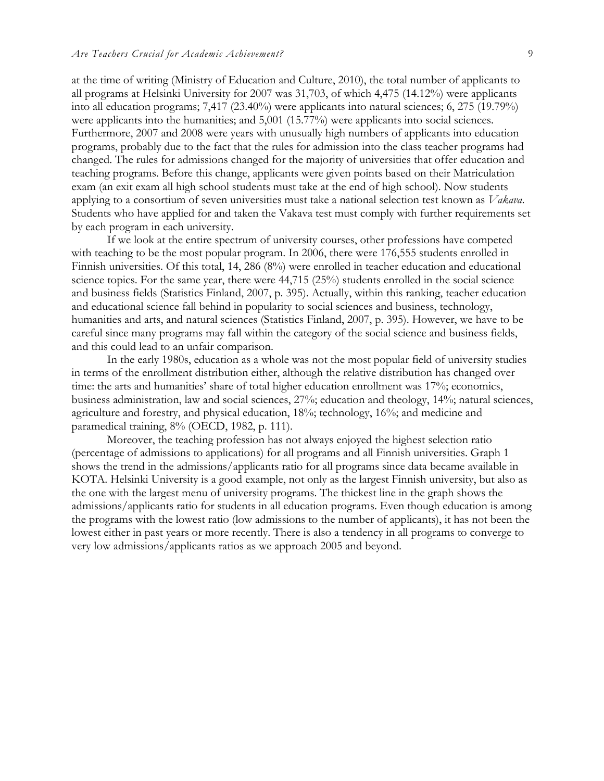at the time of writing (Ministry of Education and Culture, 2010), the total number of applicants to all programs at Helsinki University for 2007 was 31,703, of which 4,475 (14.12%) were applicants into all education programs; 7,417 (23.40%) were applicants into natural sciences; 6, 275 (19.79%) were applicants into the humanities; and 5,001 (15.77%) were applicants into social sciences. Furthermore, 2007 and 2008 were years with unusually high numbers of applicants into education programs, probably due to the fact that the rules for admission into the class teacher programs had changed. The rules for admissions changed for the majority of universities that offer education and teaching programs. Before this change, applicants were given points based on their Matriculation exam (an exit exam all high school students must take at the end of high school). Now students applying to a consortium of seven universities must take a national selection test known as *Vakava*. Students who have applied for and taken the Vakava test must comply with further requirements set by each program in each university.

If we look at the entire spectrum of university courses, other professions have competed with teaching to be the most popular program. In 2006, there were 176,555 students enrolled in Finnish universities. Of this total, 14, 286 (8%) were enrolled in teacher education and educational science topics. For the same year, there were 44,715 (25%) students enrolled in the social science and business fields (Statistics Finland, 2007, p. 395). Actually, within this ranking, teacher education and educational science fall behind in popularity to social sciences and business, technology, humanities and arts, and natural sciences (Statistics Finland, 2007, p. 395). However, we have to be careful since many programs may fall within the category of the social science and business fields, and this could lead to an unfair comparison.

In the early 1980s, education as a whole was not the most popular field of university studies in terms of the enrollment distribution either, although the relative distribution has changed over time: the arts and humanities' share of total higher education enrollment was 17%; economics, business administration, law and social sciences, 27%; education and theology, 14%; natural sciences, agriculture and forestry, and physical education, 18%; technology, 16%; and medicine and paramedical training, 8% (OECD, 1982, p. 111).

Moreover, the teaching profession has not always enjoyed the highest selection ratio (percentage of admissions to applications) for all programs and all Finnish universities. Graph 1 shows the trend in the admissions/applicants ratio for all programs since data became available in KOTA. Helsinki University is a good example, not only as the largest Finnish university, but also as the one with the largest menu of university programs. The thickest line in the graph shows the admissions/applicants ratio for students in all education programs. Even though education is among the programs with the lowest ratio (low admissions to the number of applicants), it has not been the lowest either in past years or more recently. There is also a tendency in all programs to converge to very low admissions/applicants ratios as we approach 2005 and beyond.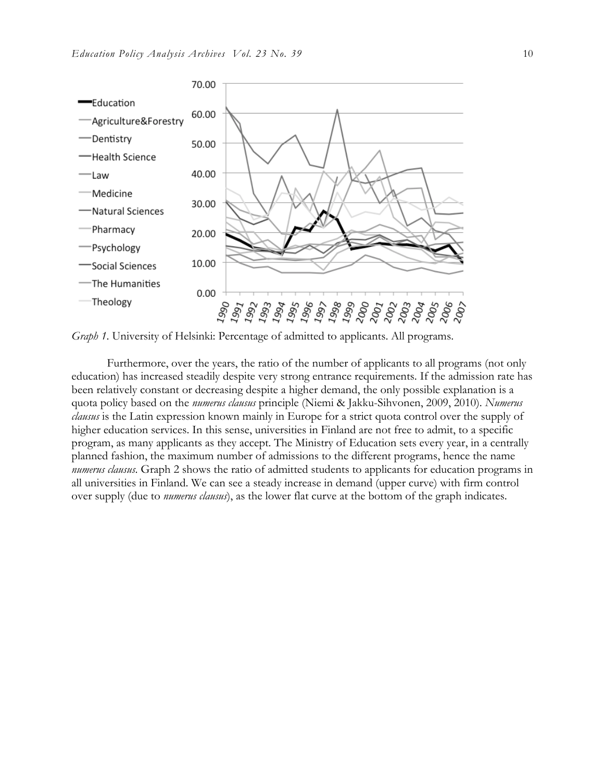

*Graph 1*. University of Helsinki: Percentage of admitted to applicants. All programs.

Furthermore, over the years, the ratio of the number of applicants to all programs (not only education) has increased steadily despite very strong entrance requirements. If the admission rate has been relatively constant or decreasing despite a higher demand, the only possible explanation is a quota policy based on the *numerus clausus* principle (Niemi & Jakku-Sihvonen, 2009, 2010). *Numerus clausus* is the Latin expression known mainly in Europe for a strict quota control over the supply of higher education services. In this sense, universities in Finland are not free to admit, to a specific program, as many applicants as they accept. The Ministry of Education sets every year, in a centrally planned fashion, the maximum number of admissions to the different programs, hence the name *numerus clausus*. Graph 2 shows the ratio of admitted students to applicants for education programs in all universities in Finland. We can see a steady increase in demand (upper curve) with firm control over supply (due to *numerus clausus*), as the lower flat curve at the bottom of the graph indicates.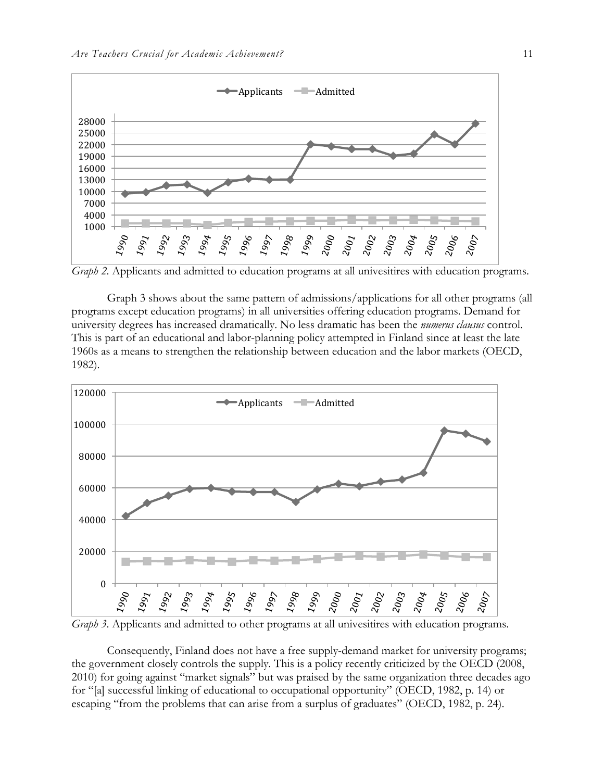

*Graph 2*. Applicants and admitted to education programs at all univesitires with education programs.

Graph 3 shows about the same pattern of admissions/applications for all other programs (all programs except education programs) in all universities offering education programs. Demand for university degrees has increased dramatically. No less dramatic has been the *numerus clausus* control. This is part of an educational and labor-planning policy attempted in Finland since at least the late 1960s as a means to strengthen the relationship between education and the labor markets (OECD, 1982).



*Graph 3*. Applicants and admitted to other programs at all univesitires with education programs.

Consequently, Finland does not have a free supply-demand market for university programs; the government closely controls the supply. This is a policy recently criticized by the OECD (2008, 2010) for going against "market signals" but was praised by the same organization three decades ago for "[a] successful linking of educational to occupational opportunity" (OECD, 1982, p. 14) or escaping "from the problems that can arise from a surplus of graduates" (OECD, 1982, p. 24).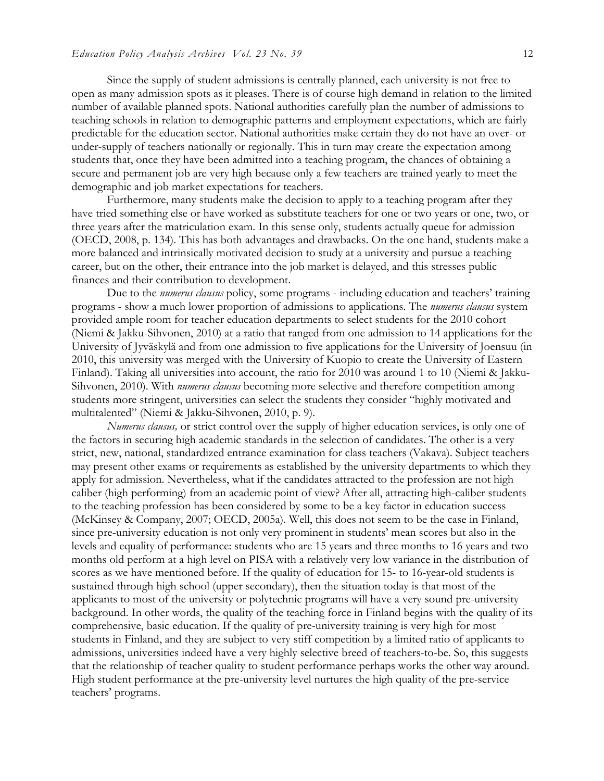Since the supply of student admissions is centrally planned, each university is not free to open as many admission spots as it pleases. There is of course high demand in relation to the limited number of available planned spots. National authorities carefully plan the number of admissions to teaching schools in relation to demographic patterns and employment expectations, which are fairly predictable for the education sector. National authorities make certain they do not have an over- or under-supply of teachers nationally or regionally. This in turn may create the expectation among students that, once they have been admitted into a teaching program, the chances of obtaining a secure and permanent job are very high because only a few teachers are trained yearly to meet the demographic and job market expectations for teachers.

Furthermore, many students make the decision to apply to a teaching program after they have tried something else or have worked as substitute teachers for one or two years or one, two, or three years after the matriculation exam. In this sense only, students actually queue for admission (OECD, 2008, p. 134). This has both advantages and drawbacks. On the one hand, students make a more balanced and intrinsically motivated decision to study at a university and pursue a teaching career, but on the other, their entrance into the job market is delayed, and this stresses public finances and their contribution to development.

Due to the *numerus clausus* policy, some programs - including education and teachers' training programs - show a much lower proportion of admissions to applications. The *numerus clausus* system provided ample room for teacher education departments to select students for the 2010 cohort (Niemi & Jakku-Sihvonen, 2010) at a ratio that ranged from one admission to 14 applications for the University of Jyväskylä and from one admission to five applications for the University of Joensuu (in 2010, this university was merged with the University of Kuopio to create the University of Eastern Finland). Taking all universities into account, the ratio for 2010 was around 1 to 10 (Niemi & Jakku-Sihvonen, 2010). With *numerus clausus* becoming more selective and therefore competition among students more stringent, universities can select the students they consider "highly motivated and multitalented" (Niemi & Jakku-Sihvonen, 2010, p. 9).

*Numerus clausus,* or strict control over the supply of higher education services, is only one of the factors in securing high academic standards in the selection of candidates. The other is a very strict, new, national, standardized entrance examination for class teachers (Vakava). Subject teachers may present other exams or requirements as established by the university departments to which they apply for admission. Nevertheless, what if the candidates attracted to the profession are not high caliber (high performing) from an academic point of view? After all, attracting high-caliber students to the teaching profession has been considered by some to be a key factor in education success (McKinsey & Company, 2007; OECD, 2005a). Well, this does not seem to be the case in Finland, since pre-university education is not only very prominent in students' mean scores but also in the levels and equality of performance: students who are 15 years and three months to 16 years and two months old perform at a high level on PISA with a relatively very low variance in the distribution of scores as we have mentioned before. If the quality of education for 15- to 16-year-old students is sustained through high school (upper secondary), then the situation today is that most of the applicants to most of the university or polytechnic programs will have a very sound pre-university background. In other words, the quality of the teaching force in Finland begins with the quality of its comprehensive, basic education. If the quality of pre-university training is very high for most students in Finland, and they are subject to very stiff competition by a limited ratio of applicants to admissions, universities indeed have a very highly selective breed of teachers-to-be. So, this suggests that the relationship of teacher quality to student performance perhaps works the other way around. High student performance at the pre-university level nurtures the high quality of the pre-service teachers' programs.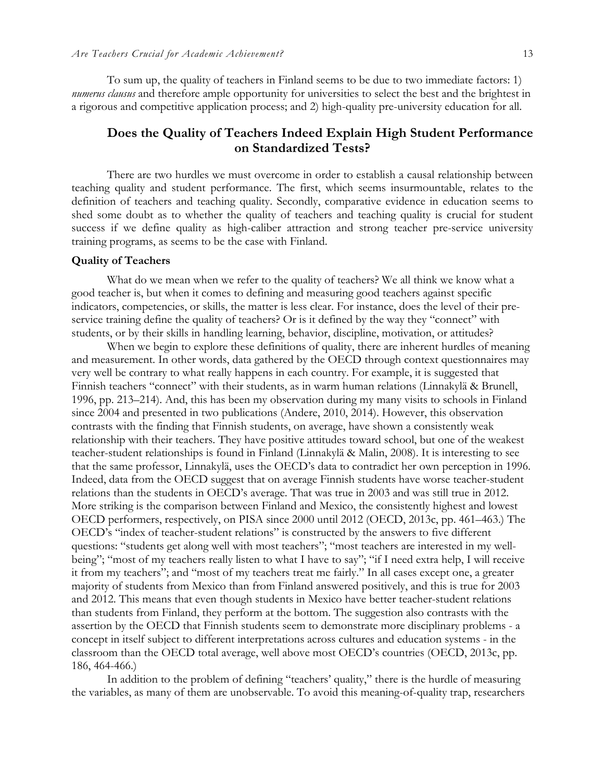To sum up, the quality of teachers in Finland seems to be due to two immediate factors: 1) *numerus clausus* and therefore ample opportunity for universities to select the best and the brightest in a rigorous and competitive application process; and 2) high-quality pre-university education for all.

#### **Does the Quality of Teachers Indeed Explain High Student Performance on Standardized Tests?**

There are two hurdles we must overcome in order to establish a causal relationship between teaching quality and student performance. The first, which seems insurmountable, relates to the definition of teachers and teaching quality. Secondly, comparative evidence in education seems to shed some doubt as to whether the quality of teachers and teaching quality is crucial for student success if we define quality as high-caliber attraction and strong teacher pre-service university training programs, as seems to be the case with Finland.

#### **Quality of Teachers**

What do we mean when we refer to the quality of teachers? We all think we know what a good teacher is, but when it comes to defining and measuring good teachers against specific indicators, competencies, or skills, the matter is less clear. For instance, does the level of their preservice training define the quality of teachers? Or is it defined by the way they "connect" with students, or by their skills in handling learning, behavior, discipline, motivation, or attitudes?

When we begin to explore these definitions of quality, there are inherent hurdles of meaning and measurement. In other words, data gathered by the OECD through context questionnaires may very well be contrary to what really happens in each country. For example, it is suggested that Finnish teachers "connect" with their students, as in warm human relations (Linnakylä & Brunell, 1996, pp. 213–214). And, this has been my observation during my many visits to schools in Finland since 2004 and presented in two publications (Andere, 2010, 2014). However, this observation contrasts with the finding that Finnish students, on average, have shown a consistently weak relationship with their teachers. They have positive attitudes toward school, but one of the weakest teacher-student relationships is found in Finland (Linnakylä & Malin, 2008). It is interesting to see that the same professor, Linnakylä, uses the OECD's data to contradict her own perception in 1996. Indeed, data from the OECD suggest that on average Finnish students have worse teacher-student relations than the students in OECD's average. That was true in 2003 and was still true in 2012. More striking is the comparison between Finland and Mexico, the consistently highest and lowest OECD performers, respectively, on PISA since 2000 until 2012 (OECD, 2013c, pp. 461–463.) The OECD's "index of teacher-student relations" is constructed by the answers to five different questions: "students get along well with most teachers"; "most teachers are interested in my wellbeing"; "most of my teachers really listen to what I have to say"; "if I need extra help, I will receive it from my teachers"; and "most of my teachers treat me fairly." In all cases except one, a greater majority of students from Mexico than from Finland answered positively, and this is true for 2003 and 2012. This means that even though students in Mexico have better teacher-student relations than students from Finland, they perform at the bottom. The suggestion also contrasts with the assertion by the OECD that Finnish students seem to demonstrate more disciplinary problems - a concept in itself subject to different interpretations across cultures and education systems - in the classroom than the OECD total average, well above most OECD's countries (OECD, 2013c, pp. 186, 464-466.)

In addition to the problem of defining "teachers' quality," there is the hurdle of measuring the variables, as many of them are unobservable. To avoid this meaning-of-quality trap, researchers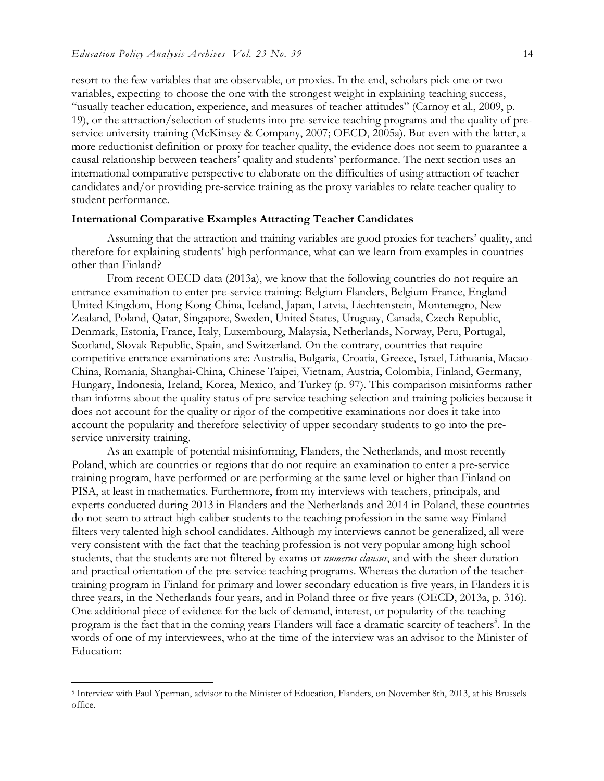resort to the few variables that are observable, or proxies. In the end, scholars pick one or two variables, expecting to choose the one with the strongest weight in explaining teaching success, "usually teacher education, experience, and measures of teacher attitudes" (Carnoy et al., 2009, p. 19), or the attraction/selection of students into pre-service teaching programs and the quality of preservice university training (McKinsey & Company, 2007; OECD, 2005a). But even with the latter, a more reductionist definition or proxy for teacher quality, the evidence does not seem to guarantee a causal relationship between teachers' quality and students' performance. The next section uses an international comparative perspective to elaborate on the difficulties of using attraction of teacher candidates and/or providing pre-service training as the proxy variables to relate teacher quality to student performance.

#### **International Comparative Examples Attracting Teacher Candidates**

Assuming that the attraction and training variables are good proxies for teachers' quality, and therefore for explaining students' high performance, what can we learn from examples in countries other than Finland?

From recent OECD data (2013a), we know that the following countries do not require an entrance examination to enter pre-service training: Belgium Flanders, Belgium France, England United Kingdom, Hong Kong-China, Iceland, Japan, Latvia, Liechtenstein, Montenegro, New Zealand, Poland, Qatar, Singapore, Sweden, United States, Uruguay, Canada, Czech Republic, Denmark, Estonia, France, Italy, Luxembourg, Malaysia, Netherlands, Norway, Peru, Portugal, Scotland, Slovak Republic, Spain, and Switzerland. On the contrary, countries that require competitive entrance examinations are: Australia, Bulgaria, Croatia, Greece, Israel, Lithuania, Macao-China, Romania, Shanghai-China, Chinese Taipei, Vietnam, Austria, Colombia, Finland, Germany, Hungary, Indonesia, Ireland, Korea, Mexico, and Turkey (p. 97). This comparison misinforms rather than informs about the quality status of pre-service teaching selection and training policies because it does not account for the quality or rigor of the competitive examinations nor does it take into account the popularity and therefore selectivity of upper secondary students to go into the preservice university training.

As an example of potential misinforming, Flanders, the Netherlands, and most recently Poland, which are countries or regions that do not require an examination to enter a pre-service training program, have performed or are performing at the same level or higher than Finland on PISA, at least in mathematics. Furthermore, from my interviews with teachers, principals, and experts conducted during 2013 in Flanders and the Netherlands and 2014 in Poland, these countries do not seem to attract high-caliber students to the teaching profession in the same way Finland filters very talented high school candidates. Although my interviews cannot be generalized, all were very consistent with the fact that the teaching profession is not very popular among high school students, that the students are not filtered by exams or *numerus clausus*, and with the sheer duration and practical orientation of the pre-service teaching programs. Whereas the duration of the teachertraining program in Finland for primary and lower secondary education is five years, in Flanders it is three years, in the Netherlands four years, and in Poland three or five years (OECD, 2013a, p. 316). One additional piece of evidence for the lack of demand, interest, or popularity of the teaching program is the fact that in the coming years Flanders will face a dramatic scarcity of teachers<sup>5</sup>. In the words of one of my interviewees, who at the time of the interview was an advisor to the Minister of Education:

 <sup>5</sup> Interview with Paul Yperman, advisor to the Minister of Education, Flanders, on November 8th, 2013, at his Brussels office.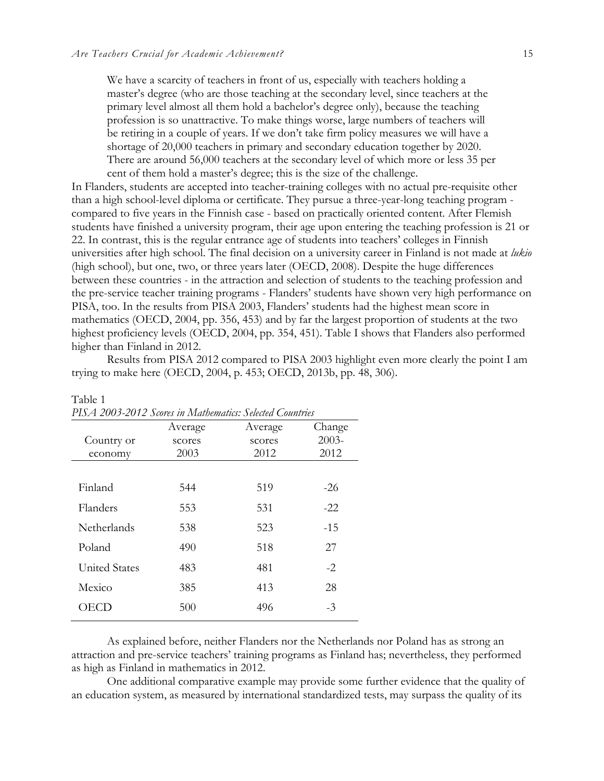We have a scarcity of teachers in front of us, especially with teachers holding a master's degree (who are those teaching at the secondary level, since teachers at the primary level almost all them hold a bachelor's degree only), because the teaching profession is so unattractive. To make things worse, large numbers of teachers will be retiring in a couple of years. If we don't take firm policy measures we will have a shortage of 20,000 teachers in primary and secondary education together by 2020. There are around 56,000 teachers at the secondary level of which more or less 35 per cent of them hold a master's degree; this is the size of the challenge.

In Flanders, students are accepted into teacher-training colleges with no actual pre-requisite other than a high school-level diploma or certificate. They pursue a three-year-long teaching program compared to five years in the Finnish case - based on practically oriented content. After Flemish students have finished a university program, their age upon entering the teaching profession is 21 or 22. In contrast, this is the regular entrance age of students into teachers' colleges in Finnish universities after high school. The final decision on a university career in Finland is not made at *lukio*  (high school), but one, two, or three years later (OECD, 2008). Despite the huge differences between these countries - in the attraction and selection of students to the teaching profession and the pre-service teacher training programs - Flanders' students have shown very high performance on PISA, too. In the results from PISA 2003, Flanders' students had the highest mean score in mathematics (OECD, 2004, pp. 356, 453) and by far the largest proportion of students at the two highest proficiency levels (OECD, 2004, pp. 354, 451). Table I shows that Flanders also performed higher than Finland in 2012.

Results from PISA 2012 compared to PISA 2003 highlight even more clearly the point I am trying to make here (OECD, 2004, p. 453; OECD, 2013b, pp. 48, 306).

| PISA 2003-2012 Scores in Mathematics: Selected Countries |         |         |          |  |  |
|----------------------------------------------------------|---------|---------|----------|--|--|
|                                                          | Average | Average | Change   |  |  |
| Country or                                               | scores  | scores  | $2003 -$ |  |  |
| economy                                                  | 2003    | 2012    | 2012     |  |  |
|                                                          |         |         |          |  |  |
| Finland                                                  | 544     | 519     | $-26$    |  |  |
| Flanders                                                 | 553     | 531     | $-22$    |  |  |
| Netherlands                                              | 538     | 523     | $-15$    |  |  |
| Poland                                                   | 490     | 518     | 27       |  |  |
| <b>United States</b>                                     | 483     | 481     | $-2$     |  |  |
| Mexico                                                   | 385     | 413     | 28       |  |  |
| OECD                                                     | 500     | 496     | $-3$     |  |  |
|                                                          |         |         |          |  |  |

Table 1

As explained before, neither Flanders nor the Netherlands nor Poland has as strong an attraction and pre-service teachers' training programs as Finland has; nevertheless, they performed as high as Finland in mathematics in 2012.

One additional comparative example may provide some further evidence that the quality of an education system, as measured by international standardized tests, may surpass the quality of its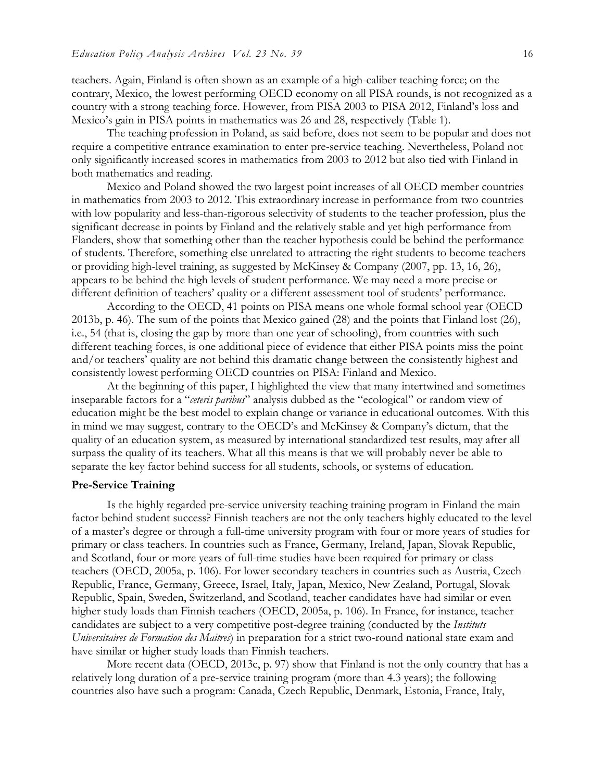teachers. Again, Finland is often shown as an example of a high-caliber teaching force; on the contrary, Mexico, the lowest performing OECD economy on all PISA rounds, is not recognized as a country with a strong teaching force. However, from PISA 2003 to PISA 2012, Finland's loss and Mexico's gain in PISA points in mathematics was 26 and 28, respectively (Table 1).

The teaching profession in Poland, as said before, does not seem to be popular and does not require a competitive entrance examination to enter pre-service teaching. Nevertheless, Poland not only significantly increased scores in mathematics from 2003 to 2012 but also tied with Finland in both mathematics and reading.

Mexico and Poland showed the two largest point increases of all OECD member countries in mathematics from 2003 to 2012. This extraordinary increase in performance from two countries with low popularity and less-than-rigorous selectivity of students to the teacher profession, plus the significant decrease in points by Finland and the relatively stable and yet high performance from Flanders, show that something other than the teacher hypothesis could be behind the performance of students. Therefore, something else unrelated to attracting the right students to become teachers or providing high-level training, as suggested by McKinsey & Company (2007, pp. 13, 16, 26), appears to be behind the high levels of student performance. We may need a more precise or different definition of teachers' quality or a different assessment tool of students' performance.

According to the OECD, 41 points on PISA means one whole formal school year (OECD 2013b, p. 46). The sum of the points that Mexico gained (28) and the points that Finland lost (26), i.e., 54 (that is, closing the gap by more than one year of schooling), from countries with such different teaching forces, is one additional piece of evidence that either PISA points miss the point and/or teachers' quality are not behind this dramatic change between the consistently highest and consistently lowest performing OECD countries on PISA: Finland and Mexico.

At the beginning of this paper, I highlighted the view that many intertwined and sometimes inseparable factors for a "*ceteris paribus*" analysis dubbed as the "ecological" or random view of education might be the best model to explain change or variance in educational outcomes. With this in mind we may suggest, contrary to the OECD's and McKinsey & Company's dictum, that the quality of an education system, as measured by international standardized test results, may after all surpass the quality of its teachers. What all this means is that we will probably never be able to separate the key factor behind success for all students, schools, or systems of education.

#### **Pre-Service Training**

Is the highly regarded pre-service university teaching training program in Finland the main factor behind student success? Finnish teachers are not the only teachers highly educated to the level of a master's degree or through a full-time university program with four or more years of studies for primary or class teachers. In countries such as France, Germany, Ireland, Japan, Slovak Republic, and Scotland, four or more years of full-time studies have been required for primary or class teachers (OECD, 2005a, p. 106). For lower secondary teachers in countries such as Austria, Czech Republic, France, Germany, Greece, Israel, Italy, Japan, Mexico, New Zealand, Portugal, Slovak Republic, Spain, Sweden, Switzerland, and Scotland, teacher candidates have had similar or even higher study loads than Finnish teachers (OECD, 2005a, p. 106). In France, for instance, teacher candidates are subject to a very competitive post-degree training (conducted by the *Instituts Universitaires de Formation des Maitres*) in preparation for a strict two-round national state exam and have similar or higher study loads than Finnish teachers.

More recent data (OECD, 2013c, p. 97) show that Finland is not the only country that has a relatively long duration of a pre-service training program (more than 4.3 years); the following countries also have such a program: Canada, Czech Republic, Denmark, Estonia, France, Italy,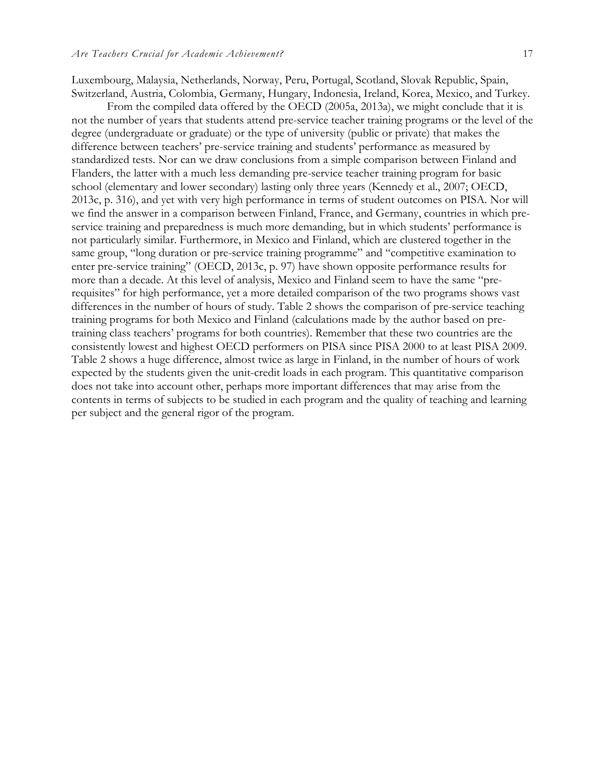Luxembourg, Malaysia, Netherlands, Norway, Peru, Portugal, Scotland, Slovak Republic, Spain, Switzerland, Austria, Colombia, Germany, Hungary, Indonesia, Ireland, Korea, Mexico, and Turkey.

From the compiled data offered by the OECD (2005a, 2013a), we might conclude that it is not the number of years that students attend pre-service teacher training programs or the level of the degree (undergraduate or graduate) or the type of university (public or private) that makes the difference between teachers' pre-service training and students' performance as measured by standardized tests. Nor can we draw conclusions from a simple comparison between Finland and Flanders, the latter with a much less demanding pre-service teacher training program for basic school (elementary and lower secondary) lasting only three years (Kennedy et al., 2007; OECD, 2013c, p. 316), and yet with very high performance in terms of student outcomes on PISA. Nor will we find the answer in a comparison between Finland, France, and Germany, countries in which preservice training and preparedness is much more demanding, but in which students' performance is not particularly similar. Furthermore, in Mexico and Finland, which are clustered together in the same group, "long duration or pre-service training programme" and "competitive examination to enter pre-service training" (OECD, 2013c, p. 97) have shown opposite performance results for more than a decade. At this level of analysis, Mexico and Finland seem to have the same "prerequisites" for high performance, yet a more detailed comparison of the two programs shows vast differences in the number of hours of study. Table 2 shows the comparison of pre-service teaching training programs for both Mexico and Finland (calculations made by the author based on pretraining class teachers' programs for both countries). Remember that these two countries are the consistently lowest and highest OECD performers on PISA since PISA 2000 to at least PISA 2009. Table 2 shows a huge difference, almost twice as large in Finland, in the number of hours of work expected by the students given the unit-credit loads in each program. This quantitative comparison does not take into account other, perhaps more important differences that may arise from the contents in terms of subjects to be studied in each program and the quality of teaching and learning per subject and the general rigor of the program.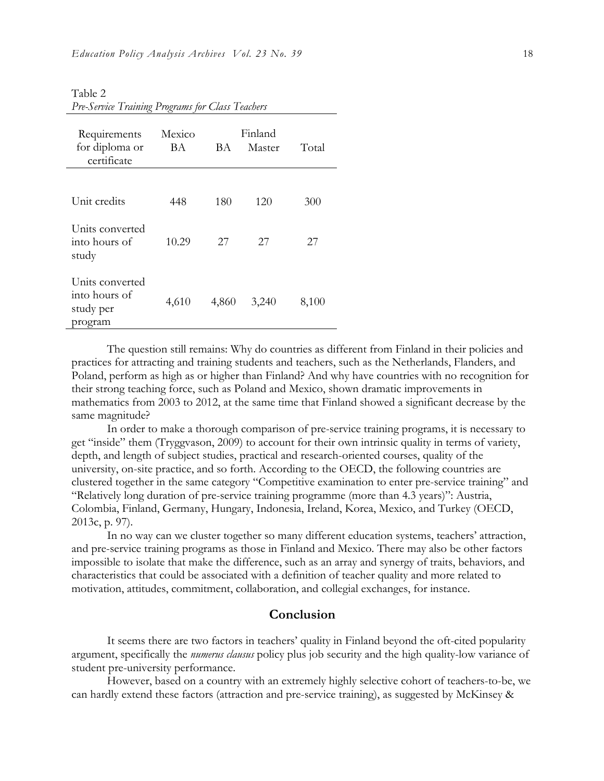*Pre-Service Training Programs for Class Teachers*

| anie |  |
|------|--|
|------|--|

| Requirements<br>for diploma or<br>certificate            | Mexico<br>BA | BA.   | Finland<br>Master | Total |
|----------------------------------------------------------|--------------|-------|-------------------|-------|
| Unit credits                                             | 448          | 180   | 120               | 300   |
| Units converted<br>into hours of<br>study                | 10.29        | 27    | 27                | 27    |
| Units converted<br>into hours of<br>study per<br>program | 4,610        | 4,860 | 3,240             | 8,100 |

The question still remains: Why do countries as different from Finland in their policies and practices for attracting and training students and teachers, such as the Netherlands, Flanders, and Poland, perform as high as or higher than Finland? And why have countries with no recognition for their strong teaching force, such as Poland and Mexico, shown dramatic improvements in mathematics from 2003 to 2012, at the same time that Finland showed a significant decrease by the same magnitude?

In order to make a thorough comparison of pre-service training programs, it is necessary to get "inside" them (Tryggvason, 2009) to account for their own intrinsic quality in terms of variety, depth, and length of subject studies, practical and research-oriented courses, quality of the university, on-site practice, and so forth. According to the OECD, the following countries are clustered together in the same category "Competitive examination to enter pre-service training" and "Relatively long duration of pre-service training programme (more than 4.3 years)": Austria, Colombia, Finland, Germany, Hungary, Indonesia, Ireland, Korea, Mexico, and Turkey (OECD, 2013c, p. 97).

In no way can we cluster together so many different education systems, teachers' attraction, and pre-service training programs as those in Finland and Mexico. There may also be other factors impossible to isolate that make the difference, such as an array and synergy of traits, behaviors, and characteristics that could be associated with a definition of teacher quality and more related to motivation, attitudes, commitment, collaboration, and collegial exchanges, for instance.

#### **Conclusion**

It seems there are two factors in teachers' quality in Finland beyond the oft-cited popularity argument, specifically the *numerus clausus* policy plus job security and the high quality-low variance of student pre-university performance.

However, based on a country with an extremely highly selective cohort of teachers-to-be, we can hardly extend these factors (attraction and pre-service training), as suggested by McKinsey &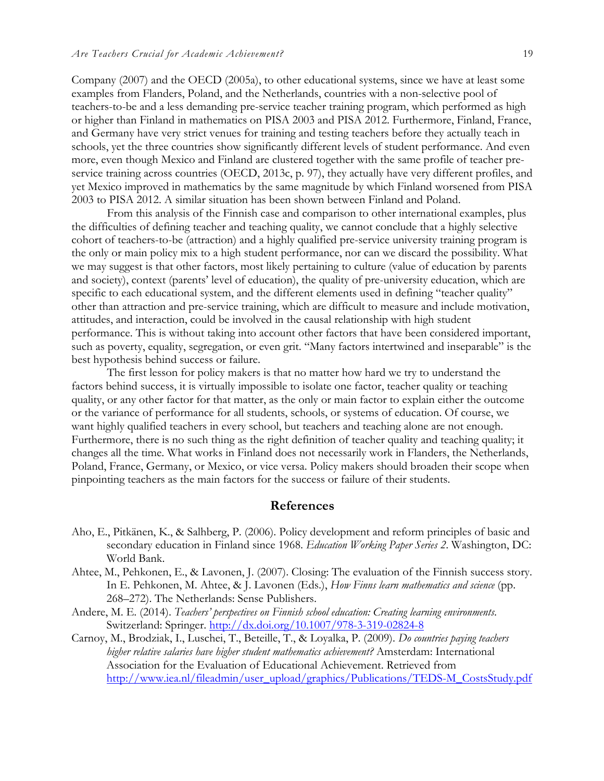Company (2007) and the OECD (2005a), to other educational systems, since we have at least some examples from Flanders, Poland, and the Netherlands, countries with a non-selective pool of teachers-to-be and a less demanding pre-service teacher training program, which performed as high or higher than Finland in mathematics on PISA 2003 and PISA 2012. Furthermore, Finland, France, and Germany have very strict venues for training and testing teachers before they actually teach in schools, yet the three countries show significantly different levels of student performance. And even more, even though Mexico and Finland are clustered together with the same profile of teacher preservice training across countries (OECD, 2013c, p. 97), they actually have very different profiles, and yet Mexico improved in mathematics by the same magnitude by which Finland worsened from PISA 2003 to PISA 2012. A similar situation has been shown between Finland and Poland.

From this analysis of the Finnish case and comparison to other international examples, plus the difficulties of defining teacher and teaching quality, we cannot conclude that a highly selective cohort of teachers-to-be (attraction) and a highly qualified pre-service university training program is the only or main policy mix to a high student performance, nor can we discard the possibility. What we may suggest is that other factors, most likely pertaining to culture (value of education by parents and society), context (parents' level of education), the quality of pre-university education, which are specific to each educational system, and the different elements used in defining "teacher quality" other than attraction and pre-service training, which are difficult to measure and include motivation, attitudes, and interaction, could be involved in the causal relationship with high student performance. This is without taking into account other factors that have been considered important, such as poverty, equality, segregation, or even grit. "Many factors intertwined and inseparable" is the best hypothesis behind success or failure.

The first lesson for policy makers is that no matter how hard we try to understand the factors behind success, it is virtually impossible to isolate one factor, teacher quality or teaching quality, or any other factor for that matter, as the only or main factor to explain either the outcome or the variance of performance for all students, schools, or systems of education. Of course, we want highly qualified teachers in every school, but teachers and teaching alone are not enough. Furthermore, there is no such thing as the right definition of teacher quality and teaching quality; it changes all the time. What works in Finland does not necessarily work in Flanders, the Netherlands, Poland, France, Germany, or Mexico, or vice versa. Policy makers should broaden their scope when pinpointing teachers as the main factors for the success or failure of their students.

#### **References**

- Aho, E., Pitkänen, K., & Salhberg, P. (2006). Policy development and reform principles of basic and secondary education in Finland since 1968. *Education Working Paper Series 2*. Washington, DC: World Bank.
- Ahtee, M., Pehkonen, E., & Lavonen, J. (2007). Closing: The evaluation of the Finnish success story. In E. Pehkonen, M. Ahtee, & J. Lavonen (Eds.), *How Finns learn mathematics and science* (pp. 268–272). The Netherlands: Sense Publishers.
- Andere, M. E. (2014). *Teachers' perspectives on Finnish school education: Creating learning environments*. Switzerland: Springer. http://dx.doi.org/10.1007/978-3-319-02824-8
- Carnoy, M., Brodziak, I., Luschei, T., Beteille, T., & Loyalka, P. (2009). *Do countries paying teachers higher relative salaries have higher student mathematics achievement?* Amsterdam: International Association for the Evaluation of Educational Achievement. Retrieved from http://www.iea.nl/fileadmin/user\_upload/graphics/Publications/TEDS-M\_CostsStudy.pdf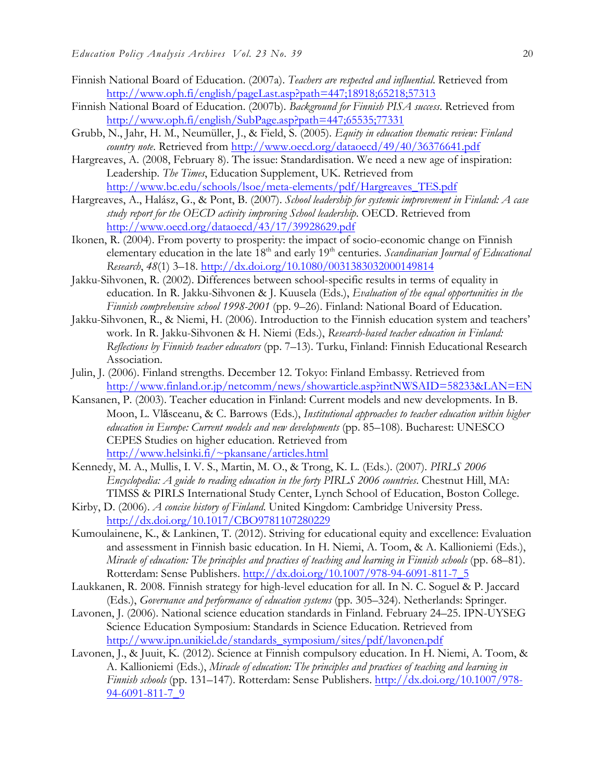- Finnish National Board of Education. (2007a). *Teachers are respected and influential*. Retrieved from http://www.oph.fi/english/pageLast.asp?path=447;18918;65218;57313
- Finnish National Board of Education. (2007b). *Background for Finnish PISA success*. Retrieved from http://www.oph.fi/english/SubPage.asp?path=447;65535;77331
- Grubb, N., Jahr, H. M., Neumüller, J., & Field, S. (2005). *Equity in education thematic review: Finland country note*. Retrieved from http://www.oecd.org/dataoecd/49/40/36376641.pdf
- Hargreaves, A. (2008, February 8). The issue: Standardisation. We need a new age of inspiration: Leadership. *The Times*, Education Supplement, UK. Retrieved from http://www.bc.edu/schools/lsoe/meta-elements/pdf/Hargreaves\_TES.pdf
- Hargreaves, A., Halász, G., & Pont, B. (2007). *School leadership for systemic improvement in Finland: A case study report for the OECD activity improving School leadership*. OECD. Retrieved from http://www.oecd.org/dataoecd/43/17/39928629.pdf
- Ikonen, R. (2004). From poverty to prosperity: the impact of socio-economic change on Finnish elementary education in the late 18<sup>th</sup> and early 19<sup>th</sup> centuries. *Scandinavian Journal of Educational Research*, *48*(1) 3–18. http://dx.doi.org/10.1080/0031383032000149814
- Jakku-Sihvonen, R. (2002). Differences between school-specific results in terms of equality in education. In R. Jakku-Sihvonen & J. Kuusela (Eds.), *Evaluation of the equal opportunities in the Finnish comprehensive school 1998-2001* (pp. 9–26). Finland: National Board of Education.
- Jakku-Sihvonen, R., & Niemi, H. (2006). Introduction to the Finnish education system and teachers' work. In R. Jakku-Sihvonen & H. Niemi (Eds.), *Research-based teacher education in Finland: Reflections by Finnish teacher educators* (pp. 7–13). Turku, Finland: Finnish Educational Research Association.
- Julin, J. (2006). Finland strengths. December 12. Tokyo: Finland Embassy. Retrieved from http://www.finland.or.jp/netcomm/news/showarticle.asp?intNWSAID=58233&LAN=EN
- Kansanen, P. (2003). Teacher education in Finland: Current models and new developments. In B. Moon, L. Vlăsceanu, & C. Barrows (Eds.), *Institutional approaches to teacher education within higher education in Europe: Current models and new developments* (pp. 85–108). Bucharest: UNESCO CEPES Studies on higher education. Retrieved from http://www.helsinki.fi/~pkansane/articles.html
- Kennedy, M. A., Mullis, I. V. S., Martin, M. O., & Trong, K. L. (Eds.). (2007). *PIRLS 2006 Encyclopedia: A guide to reading education in the forty PIRLS 2006 countries*. Chestnut Hill, MA: TIMSS & PIRLS International Study Center, Lynch School of Education, Boston College.
- Kirby, D. (2006). *A concise history of Finland*. United Kingdom: Cambridge University Press. http://dx.doi.org/10.1017/CBO9781107280229
- Kumoulainene, K., & Lankinen, T. (2012). Striving for educational equity and excellence: Evaluation and assessment in Finnish basic education. In H. Niemi, A. Toom, & A. Kallioniemi (Eds.), *Miracle of education: The principles and practices of teaching and learning in Finnish schools* (pp. 68–81). Rotterdam: Sense Publishers. http://dx.doi.org/10.1007/978-94-6091-811-7\_5
- Laukkanen, R. 2008. Finnish strategy for high-level education for all. In N. C. Soguel & P. Jaccard (Eds.), *Governance and performance of education systems* (pp. 305–324). Netherlands: Springer.
- Lavonen, J. (2006). National science education standards in Finland. February 24–25. IPN-UYSEG Science Education Symposium: Standards in Science Education. Retrieved from http://www.ipn.unikiel.de/standards\_symposium/sites/pdf/lavonen.pdf
- Lavonen, J., & Juuit, K. (2012). Science at Finnish compulsory education. In H. Niemi, A. Toom, & A. Kallioniemi (Eds.), *Miracle of education: The principles and practices of teaching and learning in Finnish schools* (pp. 131–147). Rotterdam: Sense Publishers. http://dx.doi.org/10.1007/978- 94-6091-811-7\_9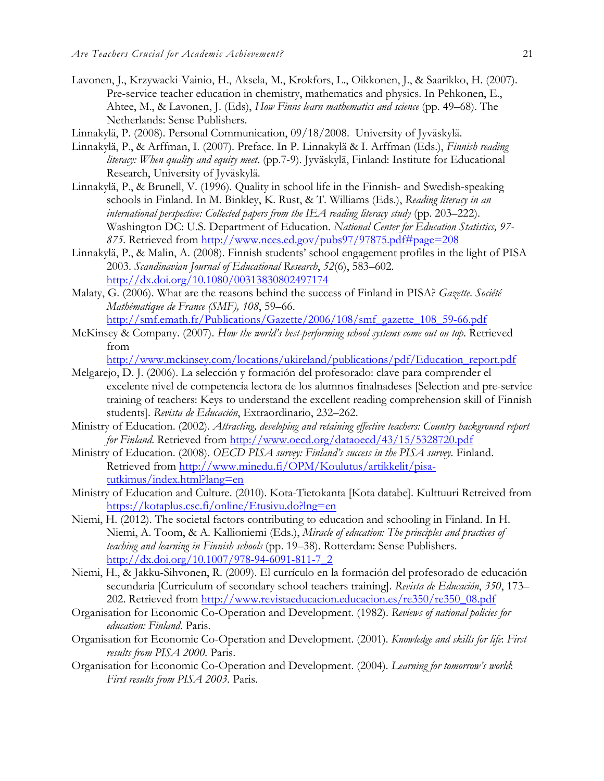- Lavonen, J., Krzywacki-Vainio, H., Aksela, M., Krokfors, L., Oikkonen, J., & Saarikko, H. (2007). Pre-service teacher education in chemistry, mathematics and physics. In Pehkonen, E., Ahtee, M., & Lavonen, J. (Eds), *How Finns learn mathematics and science* (pp. 49–68). The Netherlands: Sense Publishers.
- Linnakylä, P. (2008). Personal Communication, 09/18/2008. University of Jyväskylä.
- Linnakylä, P., & Arffman, I. (2007). Preface. In P. Linnakylä & I. Arffman (Eds.), *Finnish reading literacy: When quality and equity meet*. (pp.7-9). Jyväskylä, Finland: Institute for Educational Research, University of Jyväskylä.
- Linnakylä, P., & Brunell, V. (1996). Quality in school life in the Finnish- and Swedish-speaking schools in Finland. In M. Binkley, K. Rust, & T. Williams (Eds.), *Reading literacy in an international perspective: Collected papers from the IEA reading literacy study* (pp. 203–222). Washington DC: U.S. Department of Education. *National Center for Education Statistics, 97- 875.* Retrieved from http://www.nces.ed.gov/pubs97/97875.pdf#page=208
- Linnakylä, P., & Malin, A. (2008). Finnish students' school engagement profiles in the light of PISA 2003. *Scandinavian Journal of Educational Research*, *52*(6), 583–602. http://dx.doi.org/10.1080/00313830802497174
- Malaty, G. (2006). What are the reasons behind the success of Finland in PISA? *Gazette*. *Société Mathématique de France (SMF), 108*, 59–66. http://smf.emath.fr/Publications/Gazette/2006/108/smf\_gazette\_108\_59-66.pdf
- McKinsey & Company. (2007). *How the world's best-performing school systems come out on top*. Retrieved from
	- http://www.mckinsey.com/locations/ukireland/publications/pdf/Education\_report.pdf
- Melgarejo, D. J. (2006). La selección y formación del profesorado: clave para comprender el excelente nivel de competencia lectora de los alumnos finalnadeses [Selection and pre-service training of teachers: Keys to understand the excellent reading comprehension skill of Finnish students]. *Revista de Educación*, Extraordinario, 232–262.
- Ministry of Education. (2002). *Attracting, developing and retaining effective teachers: Country background report for Finland*. Retrieved from http://www.oecd.org/dataoecd/43/15/5328720.pdf
- Ministry of Education. (2008). *OECD PISA survey: Finland's success in the PISA survey*. Finland. Retrieved from http://www.minedu.fi/OPM/Koulutus/artikkelit/pisatutkimus/index.html?lang=en
- Ministry of Education and Culture. (2010). Kota-Tietokanta [Kota databe]. Kulttuuri Retreived from https://kotaplus.csc.fi/online/Etusivu.do?lng=en
- Niemi, H. (2012). The societal factors contributing to education and schooling in Finland. In H. Niemi, A. Toom, & A. Kallioniemi (Eds.), *Miracle of education: The principles and practices of teaching and learning in Finnish schools* (pp. 19–38). Rotterdam: Sense Publishers. http://dx.doi.org/10.1007/978-94-6091-811-7\_2
- Niemi, H., & Jakku-Sihvonen, R. (2009). El currículo en la formación del profesorado de educación secundaria [Curriculum of secondary school teachers training]. *Revista de Educación*, *350*, 173– 202. Retrieved from http://www.revistaeducacion.educacion.es/re350/re350\_08.pdf
- Organisation for Economic Co-Operation and Development. (1982). *Reviews of national policies for education: Finland*. Paris.
- Organisation for Economic Co-Operation and Development. (2001)*. Knowledge and skills for life*: *First results from PISA 2000.* Paris.
- Organisation for Economic Co-Operation and Development. (2004)*. Learning for tomorrow's world*: *First results from PISA 2003.* Paris.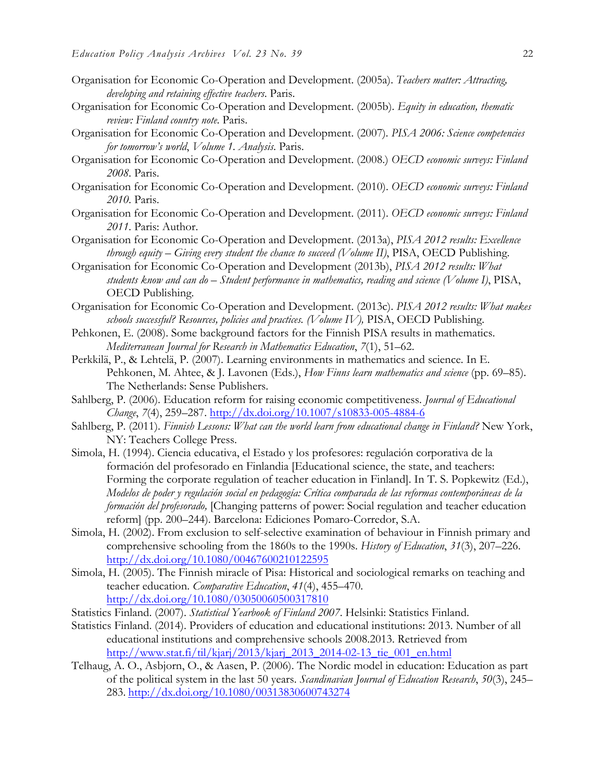- Organisation for Economic Co-Operation and Development. (2005a). *Teachers matter: Attracting, developing and retaining effective teachers*. Paris.
- Organisation for Economic Co-Operation and Development. (2005b). *Equity in education, thematic review: Finland country note*. Paris.
- Organisation for Economic Co-Operation and Development. (2007)*. PISA 2006: Science competencies for tomorrow's world*, *Volume 1. Analysis*. Paris.
- Organisation for Economic Co-Operation and Development. (2008.) *OECD economic surveys: Finland 2008*. Paris.
- Organisation for Economic Co-Operation and Development. (2010). *OECD economic surveys: Finland 2010*. Paris.
- Organisation for Economic Co-Operation and Development. (2011). *OECD economic surveys: Finland 2011*. Paris: Author.
- Organisation for Economic Co-Operation and Development. (2013a), *PISA 2012 results: Excellence through equity – Giving every student the chance to succeed (Volume II)*, PISA, OECD Publishing.
- Organisation for Economic Co-Operation and Development (2013b), *PISA 2012 results: What students know and can do – Student performance in mathematics, reading and science (Volume I)*, PISA, OECD Publishing.
- Organisation for Economic Co-Operation and Development. (2013c). *PISA 2012 results: What makes*  schools successful? Resources, policies and practices. (Volume IV), PISA, OECD Publishing.
- Pehkonen, E. (2008). Some background factors for the Finnish PISA results in mathematics. *Mediterranean Journal for Research in Mathematics Education*, *7*(1), 51–62.
- Perkkilä, P., & Lehtelä, P. (2007). Learning environments in mathematics and science. In E. Pehkonen, M. Ahtee, & J. Lavonen (Eds.), *How Finns learn mathematics and science* (pp. 69–85). The Netherlands: Sense Publishers.
- Sahlberg, P. (2006). Education reform for raising economic competitiveness. *Journal of Educational Change*, *7*(4), 259–287. http://dx.doi.org/10.1007/s10833-005-4884-6
- Sahlberg, P. (2011). *Finnish Lessons: What can the world learn from educational change in Finland?* New York, NY: Teachers College Press.
- Simola, H. (1994). Ciencia educativa, el Estado y los profesores: regulación corporativa de la formación del profesorado en Finlandia [Educational science, the state, and teachers: Forming the corporate regulation of teacher education in Finland]. In T. S. Popkewitz (Ed.), *Modelos de poder y regulación social en pedagogía: Crítica comparada de las reformas contemporáneas de la formación del profesorado,* [Changing patterns of power: Social regulation and teacher education reform] (pp. 200–244). Barcelona: Ediciones Pomaro-Corredor, S.A.
- Simola, H. (2002). From exclusion to self-selective examination of behaviour in Finnish primary and comprehensive schooling from the 1860s to the 1990s. *History of Education*, *31*(3), 207–226. http://dx.doi.org/10.1080/00467600210122595
- Simola, H. (2005). The Finnish miracle of Pisa: Historical and sociological remarks on teaching and teacher education. *Comparative Education*, *41*(4), 455–470. http://dx.doi.org/10.1080/03050060500317810
- Statistics Finland. (2007). *Statistical Yearbook of Finland 2007*. Helsinki: Statistics Finland.
- Statistics Finland. (2014). Providers of education and educational institutions: 2013. Number of all educational institutions and comprehensive schools 2008.2013. Retrieved from http://www.stat.fi/til/kjarj/2013/kjarj\_2013\_2014-02-13\_tie\_001\_en.html
- Telhaug, A. O., Asbjorn, O., & Aasen, P. (2006). The Nordic model in education: Education as part of the political system in the last 50 years. *Scandinavian Journal of Education Research*, *50*(3), 245– 283. http://dx.doi.org/10.1080/00313830600743274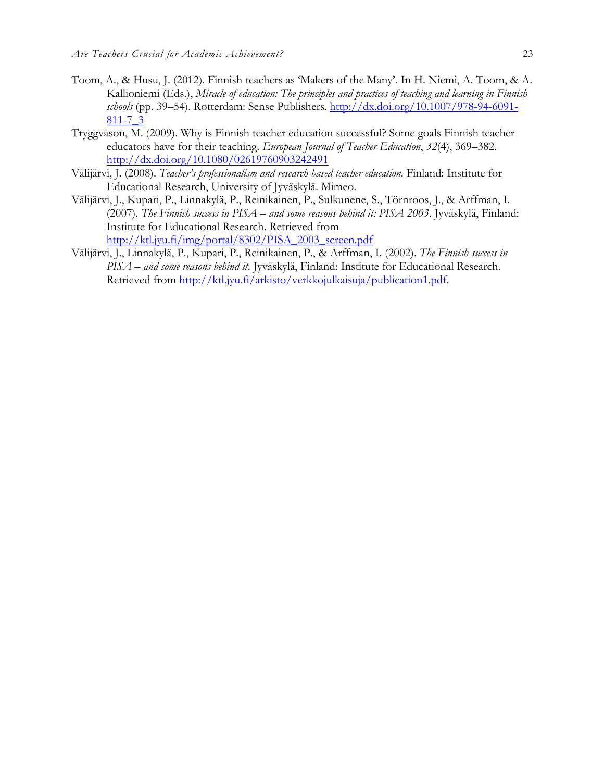- Toom, A., & Husu, J. (2012). Finnish teachers as 'Makers of the Many'. In H. Niemi, A. Toom, & A. Kallioniemi (Eds.), *Miracle of education: The principles and practices of teaching and learning in Finnish schools* (pp. 39–54). Rotterdam: Sense Publishers. http://dx.doi.org/10.1007/978-94-6091- 811-7\_3
- Tryggvason, M. (2009). Why is Finnish teacher education successful? Some goals Finnish teacher educators have for their teaching. *European Journal of Teacher Education*, *32*(4), 369–382. http://dx.doi.org/10.1080/02619760903242491
- Välijärvi, J. (2008). *Teacher's professionalism and research-based teacher education*. Finland: Institute for Educational Research, University of Jyväskylä. Mimeo.
- Välijärvi, J., Kupari, P., Linnakylä, P., Reinikainen, P., Sulkunene, S., Törnroos, J., & Arffman, I. (2007). *The Finnish success in PISA – and some reasons behind it: PISA 2003*. Jyväskylä, Finland: Institute for Educational Research. Retrieved from http://ktl.jyu.fi/img/portal/8302/PISA\_2003\_screen.pdf
- Välijärvi, J., Linnakylä, P., Kupari, P., Reinikainen, P., & Arffman, I. (2002). *The Finnish success in PISA – and some reasons behind it*. Jyväskylä, Finland: Institute for Educational Research. Retrieved from http://ktl.jyu.fi/arkisto/verkkojulkaisuja/publication1.pdf.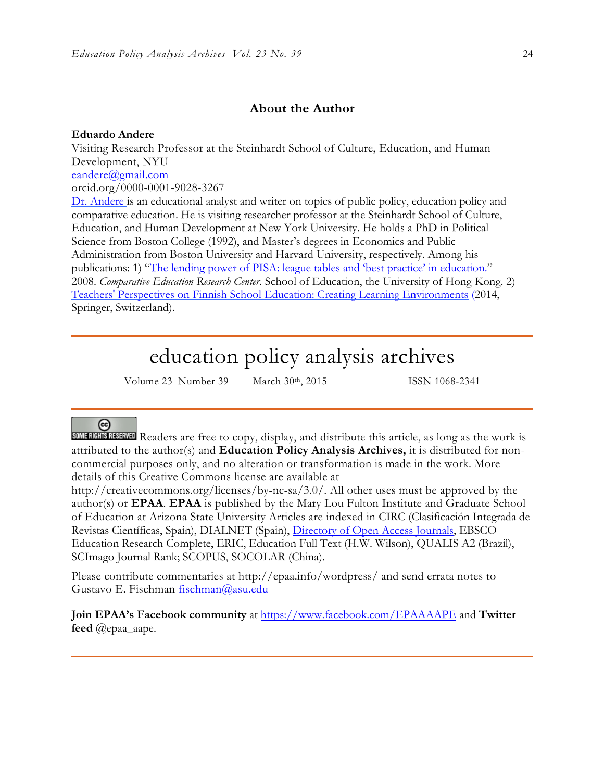#### **About the Author**

#### **Eduardo Andere**

Visiting Research Professor at the Steinhardt School of Culture, Education, and Human Development, NYU eandere@gmail.com orcid.org/0000-0001-9028-3267 Dr. Andere is an educational analyst and writer on topics of public policy, education policy and

comparative education. He is visiting researcher professor at the Steinhardt School of Culture, Education, and Human Development at New York University. He holds a PhD in Political Science from Boston College (1992), and Master's degrees in Economics and Public Administration from Boston University and Harvard University, respectively. Among his publications: 1) "The lending power of PISA: league tables and 'best practice' in education." 2008. *Comparative Education Research Center*. School of Education, the University of Hong Kong. 2) Teachers' Perspectives on Finnish School Education: Creating Learning Environments (2014, Springer, Switzerland).

## education policy analysis archives

Volume 23 Number 39 March 30<sup>th</sup>, 2015 ISSN 1068-2341

#### ര

SOME RIGHTS RESERVED Readers are free to copy, display, and distribute this article, as long as the work is attributed to the author(s) and **Education Policy Analysis Archives,** it is distributed for noncommercial purposes only, and no alteration or transformation is made in the work. More details of this Creative Commons license are available at

http://creativecommons.org/licenses/by-nc-sa/3.0/. All other uses must be approved by the author(s) or **EPAA**. **EPAA** is published by the Mary Lou Fulton Institute and Graduate School of Education at Arizona State University Articles are indexed in CIRC (Clasificación Integrada de Revistas Científicas, Spain), DIALNET (Spain), Directory of Open Access Journals, EBSCO Education Research Complete, ERIC, Education Full Text (H.W. Wilson), QUALIS A2 (Brazil), SCImago Journal Rank; SCOPUS, SOCOLAR (China).

Please contribute commentaries at http://epaa.info/wordpress/ and send errata notes to Gustavo E. Fischman fischman@asu.edu

**Join EPAA's Facebook community** at https://www.facebook.com/EPAAAAPE and **Twitter feed** @epaa\_aape.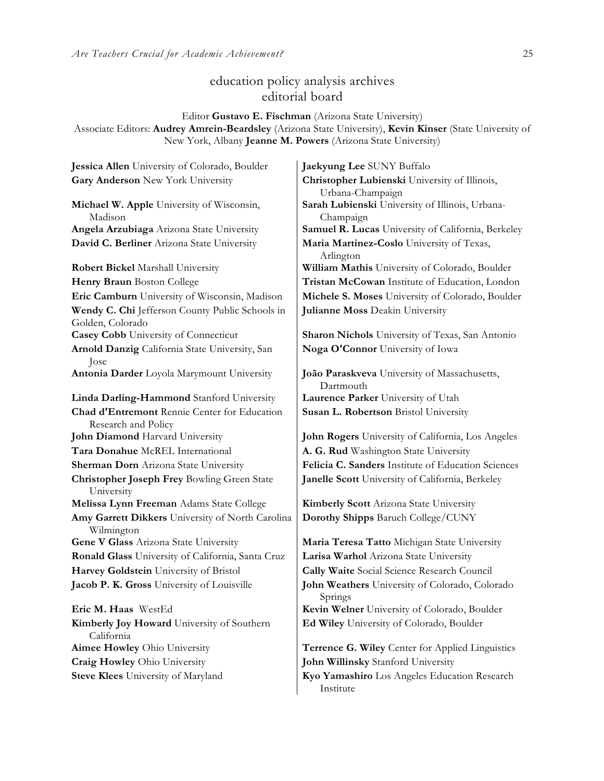#### education policy analysis archives editorial board

Editor **Gustavo E. Fischman** (Arizona State University) Associate Editors: **Audrey Amrein-Beardsley** (Arizona State University), **Kevin Kinser** (State University of New York, Albany **Jeanne M. Powers** (Arizona State University)

**Jessica Allen** University of Colorado, Boulder **Jaekyung Lee** SUNY Buffalo **Gary Anderson** New York University **Christopher Lubienski** University of Illinois, **Michael W. Apple** University of Wisconsin,

Madison

**Robert Bickel** Marshall University **William Mathis** University of Colorado, Boulder **Wendy C. Chi** Jefferson County Public Schools in Golden, Colorado **Casey Cobb** University of Connecticut **Sharon Nichols** University of Texas, San Antonio **Arnold Danzig** California State University, San Jose **Antonia Darder** Loyola Marymount University **João Paraskveva** University of Massachusetts, **Linda Darling-Hammond** Stanford University **Laurence Parker** University of Utah **Chad d'Entremont** Rennie Center for Education Research and Policy **John Diamond** Harvard University **John Rogers** University of California, Los Angeles **Tara Donahue** McREL International **A. G. Rud** Washington State University **Christopher Joseph Frey** Bowling Green State University **Melissa Lynn Freeman** Adams State College **Kimberly Scott** Arizona State University **Amy Garrett Dikkers** University of North Carolina Wilmington **Gene V Glass** Arizona State University **Maria Teresa Tatto** Michigan State University **Ronald Glass** University of California, Santa Cruz | Larisa Warhol Arizona State University **Harvey Goldstein** University of Bristol **Cally Waite** Social Science Research Council **Jacob P. K. Gross** University of Louisville **John Weathers** University of Colorado, Colorado **Eric M. Haas** WestEd **Kevin Welner** University of Colorado, Boulder **Kimberly Joy Howard** University of Southern California

Urbana-Champaign **Sarah Lubienski** University of Illinois, Urbana-Champaign **Angela Arzubiaga** Arizona State University **Samuel R. Lucas** University of California, Berkeley **David C. Berliner** Arizona State University **Maria Martinez-Coslo** University of Texas, Arlington **Henry Braun** Boston College **Tristan McCowan** Institute of Education, London **Eric Camburn** University of Wisconsin, Madison **Michele S. Moses** University of Colorado, Boulder **Julianne Moss** Deakin University

**Noga O'Connor** University of Iowa

Dartmouth **Susan L. Robertson** Bristol University

**Sherman Dorn** Arizona State University **Felicia C. Sanders** Institute of Education Sciences **Janelle Scott** University of California, Berkeley

**Dorothy Shipps** Baruch College/CUNY

Springs **Ed Wiley** University of Colorado, Boulder

**Aimee Howley** Ohio University **Terrence G. Wiley** Center for Applied Linguistics **Craig Howley** Ohio University **John Willinsky** Stanford University

**Steve Klees** University of Maryland **Kyo Yamashiro** Los Angeles Education Research Institute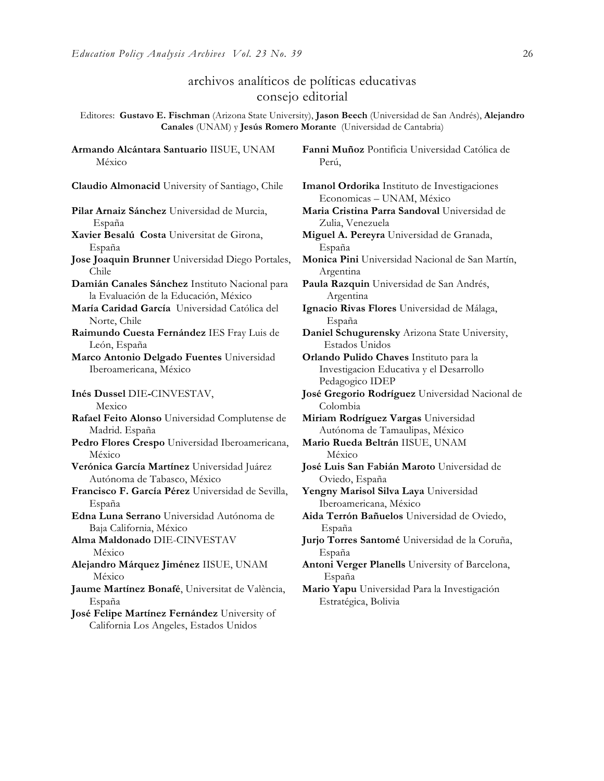**Armando Alcántara Santuario** IISUE, UNAM

#### archivos analíticos de políticas educativas consejo editorial

Editores: **Gustavo E. Fischman** (Arizona State University), **Jason Beech** (Universidad de San Andrés), **Alejandro Canales** (UNAM) y **Jesús Romero Morante** (Universidad de Cantabria)

México **Claudio Almonacid** University of Santiago, Chile **Imanol Ordorika** Instituto de Investigaciones **Pilar Arnaiz Sánchez** Universidad de Murcia, España **Xavier Besalú Costa** Universitat de Girona, España **Jose Joaquin Brunner** Universidad Diego Portales, Chile **Damián Canales Sánchez** Instituto Nacional para la Evaluación de la Educación, México **María Caridad García** Universidad Católica del Norte, Chile **Raimundo Cuesta Fernández** IES Fray Luis de León, España **Marco Antonio Delgado Fuentes** Universidad Iberoamericana, México **Inés Dussel** DIE**-**CINVESTAV, Mexico **Rafael Feito Alonso** Universidad Complutense de Madrid. España **Pedro Flores Crespo** Universidad Iberoamericana, México **Verónica García Martínez** Universidad Juárez Autónoma de Tabasco, México **Francisco F. García Pérez** Universidad de Sevilla, España **Edna Luna Serrano** Universidad Autónoma de Baja California, México **Alma Maldonado** DIE-CINVESTAV México **Alejandro Márquez Jiménez** IISUE, UNAM México **Jaume Martínez Bonafé**, Universitat de València, España

**José Felipe Martínez Fernández** University of California Los Angeles, Estados Unidos

**Fanni Muñoz** Pontificia Universidad Católica de Perú,

Economicas – UNAM, México **Maria Cristina Parra Sandoval** Universidad de Zulia, Venezuela **Miguel A. Pereyra** Universidad de Granada, España **Monica Pini** Universidad Nacional de San Martín, Argentina **Paula Razquin** Universidad de San Andrés, Argentina **Ignacio Rivas Flores** Universidad de Málaga, España **Daniel Schugurensky** Arizona State University, Estados Unidos **Orlando Pulido Chaves** Instituto para la Investigacion Educativa y el Desarrollo Pedagogico IDEP **José Gregorio Rodríguez** Universidad Nacional de Colombia **Miriam Rodríguez Vargas** Universidad Autónoma de Tamaulipas, México **Mario Rueda Beltrán** IISUE, UNAM México **José Luis San Fabián Maroto** Universidad de Oviedo, España **Yengny Marisol Silva Laya** Universidad Iberoamericana, México **Aida Terrón Bañuelos** Universidad de Oviedo, España **Jurjo Torres Santomé** Universidad de la Coruña, España **Antoni Verger Planells** University of Barcelona, España **Mario Yapu** Universidad Para la Investigación Estratégica, Bolivia